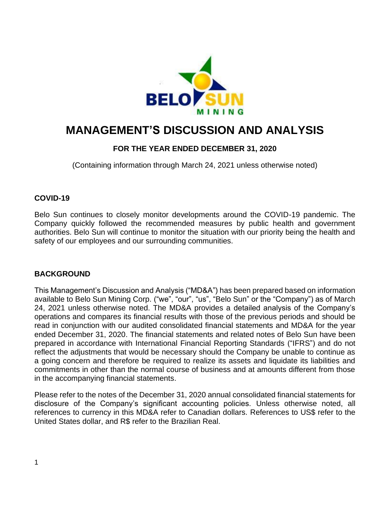

# **MANAGEMENT'S DISCUSSION AND ANALYSIS**

# **FOR THE YEAR ENDED DECEMBER 31, 2020**

(Containing information through March 24, 2021 unless otherwise noted)

# **COVID-19**

Belo Sun continues to closely monitor developments around the COVID-19 pandemic. The Company quickly followed the recommended measures by public health and government authorities. Belo Sun will continue to monitor the situation with our priority being the health and safety of our employees and our surrounding communities.

# **BACKGROUND**

This Management's Discussion and Analysis ("MD&A") has been prepared based on information available to Belo Sun Mining Corp. ("we", "our", "us", "Belo Sun" or the "Company") as of March 24, 2021 unless otherwise noted. The MD&A provides a detailed analysis of the Company's operations and compares its financial results with those of the previous periods and should be read in conjunction with our audited consolidated financial statements and MD&A for the year ended December 31, 2020. The financial statements and related notes of Belo Sun have been prepared in accordance with International Financial Reporting Standards ("IFRS") and do not reflect the adjustments that would be necessary should the Company be unable to continue as a going concern and therefore be required to realize its assets and liquidate its liabilities and commitments in other than the normal course of business and at amounts different from those in the accompanying financial statements.

Please refer to the notes of the December 31, 2020 annual consolidated financial statements for disclosure of the Company's significant accounting policies. Unless otherwise noted, all references to currency in this MD&A refer to Canadian dollars. References to US\$ refer to the United States dollar, and R\$ refer to the Brazilian Real.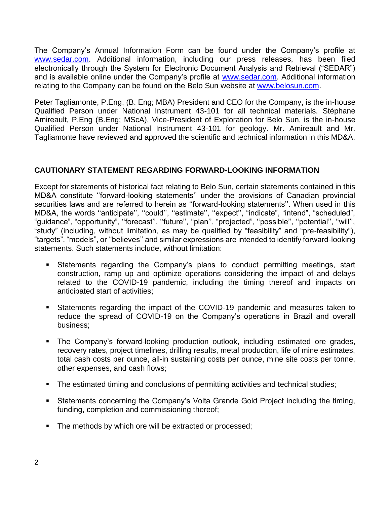The Company's Annual Information Form can be found under the Company's profile at [www.sedar.com.](http://www.sedar.com/) Additional information, including our press releases, has been filed electronically through the System for Electronic Document Analysis and Retrieval ("SEDAR") and is available online under the Company's profile at [www.sedar.com.](http://www.sedar.com/) Additional information relating to the Company can be found on the Belo Sun website at [www.belosun.com.](http://www.belosun.com/)

Peter Tagliamonte, P.Eng, (B. Eng; MBA) President and CEO for the Company, is the in-house Qualified Person under National Instrument 43-101 for all technical materials. Stéphane Amireault, P.Eng (B.Eng; MScA), Vice-President of Exploration for Belo Sun, is the in-house Qualified Person under National Instrument 43-101 for geology. Mr. Amireault and Mr. Tagliamonte have reviewed and approved the scientific and technical information in this MD&A.

# **CAUTIONARY STATEMENT REGARDING FORWARD-LOOKING INFORMATION**

Except for statements of historical fact relating to Belo Sun, certain statements contained in this MD&A constitute ''forward-looking statements'' under the provisions of Canadian provincial securities laws and are referred to herein as ''forward-looking statements''. When used in this MD&A, the words ''anticipate'', ''could'', ''estimate'', ''expect'', "indicate", "intend", "scheduled", "guidance", "opportunity", ''forecast'', ''future'', ''plan'', "projected", ''possible'', ''potential'', ''will'', "study" (including, without limitation, as may be qualified by "feasibility" and "pre-feasibility"), "targets", "models", or ''believes'' and similar expressions are intended to identify forward-looking statements. Such statements include, without limitation:

- Statements regarding the Company's plans to conduct permitting meetings, start construction, ramp up and optimize operations considering the impact of and delays related to the COVID-19 pandemic, including the timing thereof and impacts on anticipated start of activities;
- Statements regarding the impact of the COVID-19 pandemic and measures taken to reduce the spread of COVID-19 on the Company's operations in Brazil and overall business;
- The Company's forward-looking production outlook, including estimated ore grades, recovery rates, project timelines, drilling results, metal production, life of mine estimates, total cash costs per ounce, all-in sustaining costs per ounce, mine site costs per tonne, other expenses, and cash flows;
- The estimated timing and conclusions of permitting activities and technical studies;
- Statements concerning the Company's Volta Grande Gold Project including the timing, funding, completion and commissioning thereof;
- The methods by which ore will be extracted or processed;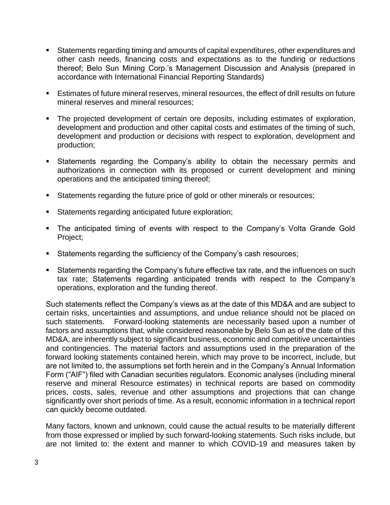- Statements regarding timing and amounts of capital expenditures, other expenditures and other cash needs, financing costs and expectations as to the funding or reductions thereof; Belo Sun Mining Corp.'s Management Discussion and Analysis (prepared in accordance with International Financial Reporting Standards)
- **Estimates of future mineral reserves, mineral resources, the effect of drill results on future** mineral reserves and mineral resources;
- The projected development of certain ore deposits, including estimates of exploration, development and production and other capital costs and estimates of the timing of such, development and production or decisions with respect to exploration, development and production;
- **EXEL Statements regarding the Company's ability to obtain the necessary permits and** authorizations in connection with its proposed or current development and mining operations and the anticipated timing thereof;
- Statements regarding the future price of gold or other minerals or resources;
- **EXEDENTE:** Statements regarding anticipated future exploration;
- The anticipated timing of events with respect to the Company's Volta Grande Gold Project;
- Statements regarding the sufficiency of the Company's cash resources;
- Statements regarding the Company's future effective tax rate, and the influences on such tax rate; Statements regarding anticipated trends with respect to the Company's operations, exploration and the funding thereof.

Such statements reflect the Company's views as at the date of this MD&A and are subject to certain risks, uncertainties and assumptions, and undue reliance should not be placed on such statements. Forward-looking statements are necessarily based upon a number of factors and assumptions that, while considered reasonable by Belo Sun as of the date of this MD&A, are inherently subject to significant business, economic and competitive uncertainties and contingencies. The material factors and assumptions used in the preparation of the forward looking statements contained herein, which may prove to be incorrect, include, but are not limited to, the assumptions set forth herein and in the Company's Annual Information Form ("AIF") filed with Canadian securities regulators. Economic analyses (including mineral reserve and mineral Resource estimates) in technical reports are based on commodity prices, costs, sales, revenue and other assumptions and projections that can change significantly over short periods of time. As a result, economic information in a technical report can quickly become outdated.

Many factors, known and unknown, could cause the actual results to be materially different from those expressed or implied by such forward-looking statements. Such risks include, but are not limited to: the extent and manner to which COVID-19 and measures taken by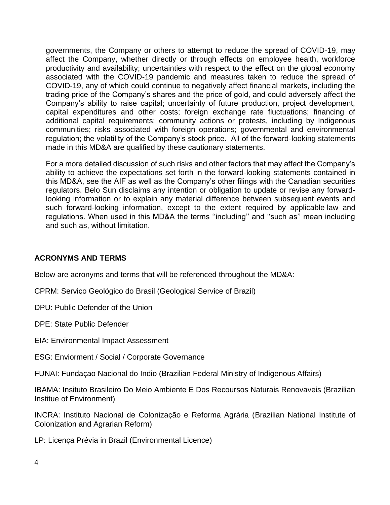governments, the Company or others to attempt to reduce the spread of COVID-19, may affect the Company, whether directly or through effects on employee health, workforce productivity and availability; uncertainties with respect to the effect on the global economy associated with the COVID-19 pandemic and measures taken to reduce the spread of COVID-19, any of which could continue to negatively affect financial markets, including the trading price of the Company's shares and the price of gold, and could adversely affect the Company's ability to raise capital; uncertainty of future production, project development, capital expenditures and other costs; foreign exchange rate fluctuations; financing of additional capital requirements; community actions or protests, including by Indigenous communities; risks associated with foreign operations; governmental and environmental regulation; the volatility of the Company's stock price. All of the forward-looking statements made in this MD&A are qualified by these cautionary statements.

For a more detailed discussion of such risks and other factors that may affect the Company's ability to achieve the expectations set forth in the forward-looking statements contained in this MD&A, see the AIF as well as the Company's other filings with the Canadian securities regulators. Belo Sun disclaims any intention or obligation to update or revise any forwardlooking information or to explain any material difference between subsequent events and such forward-looking information, except to the extent required by applicable law and regulations. When used in this MD&A the terms ''including'' and ''such as'' mean including and such as, without limitation.

# **ACRONYMS AND TERMS**

Below are acronyms and terms that will be referenced throughout the MD&A:

CPRM: Serviço Geológico do Brasil (Geological Service of Brazil)

DPU: Public Defender of the Union

DPE: State Public Defender

EIA: Environmental Impact Assessment

ESG: Enviorment / Social / Corporate Governance

FUNAI: Fundaçao Nacional do Indio (Brazilian Federal Ministry of Indigenous Affairs)

IBAMA: Insituto Brasileiro Do Meio Ambiente E Dos Recoursos Naturais Renovaveis (Brazilian Institue of Environment)

INCRA: Instituto Nacional de Colonização e Reforma Agrária (Brazilian National Institute of Colonization and Agrarian Reform)

LP: Licença Prévia in Brazil (Environmental Licence)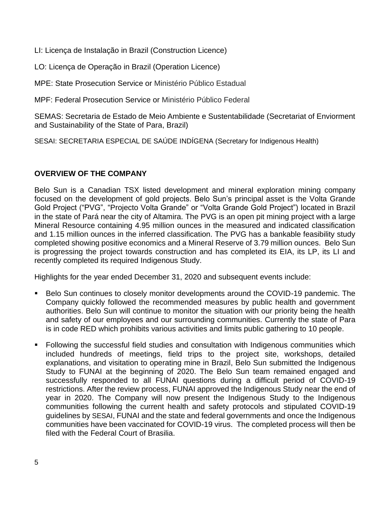LI: Licença de Instalação in Brazil (Construction Licence)

LO: Licença de Operação in Brazil (Operation Licence)

MPE: State Prosecution Service or Ministério Público Estadual

MPF: Federal Prosecution Service or Ministério Público Federal

SEMAS: Secretaria de Estado de Meio Ambiente e Sustentabilidade (Secretariat of Enviorment and Sustainability of the State of Para, Brazil)

SESAI: SECRETARIA ESPECIAL DE SAÚDE INDÍGENA (Secretary for Indigenous Health)

# **OVERVIEW OF THE COMPANY**

Belo Sun is a Canadian TSX listed development and mineral exploration mining company focused on the development of gold projects. Belo Sun's principal asset is the Volta Grande Gold Project ("PVG", "Projecto Volta Grande" or "Volta Grande Gold Project") located in Brazil in the state of Pará near the city of Altamira. The PVG is an open pit mining project with a large Mineral Resource containing 4.95 million ounces in the measured and indicated classification and 1.15 million ounces in the inferred classification. The PVG has a bankable feasibility study completed showing positive economics and a Mineral Reserve of 3.79 million ounces. Belo Sun is progressing the project towards construction and has completed its EIA, its LP, its LI and recently completed its required Indigenous Study.

Highlights for the year ended December 31, 2020 and subsequent events include:

- Belo Sun continues to closely monitor developments around the COVID-19 pandemic. The Company quickly followed the recommended measures by public health and government authorities. Belo Sun will continue to monitor the situation with our priority being the health and safety of our employees and our surrounding communities. Currently the state of Para is in code RED which prohibits various activities and limits public gathering to 10 people.
- Following the successful field studies and consultation with Indigenous communities which included hundreds of meetings, field trips to the project site, workshops, detailed explanations, and visitation to operating mine in Brazil, Belo Sun submitted the Indigenous Study to FUNAI at the beginning of 2020. The Belo Sun team remained engaged and successfully responded to all FUNAI questions during a difficult period of COVID-19 restrictions. After the review process, FUNAI approved the Indigenous Study near the end of year in 2020. The Company will now present the Indigenous Study to the Indigenous communities following the current health and safety protocols and stipulated COVID-19 guidelines by SESAI, FUNAI and the state and federal governments and once the Indigenous communities have been vaccinated for COVID-19 virus. The completed process will then be filed with the Federal Court of Brasilia.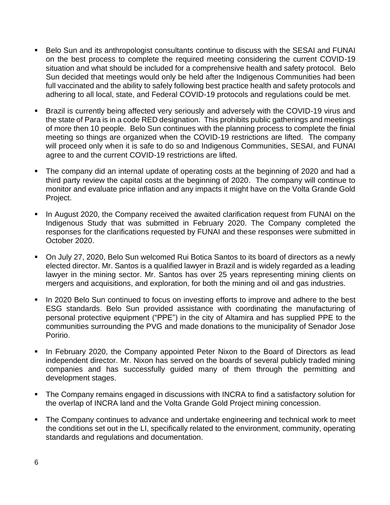- Belo Sun and its anthropologist consultants continue to discuss with the SESAI and FUNAI on the best process to complete the required meeting considering the current COVID-19 situation and what should be included for a comprehensive health and safety protocol. Belo Sun decided that meetings would only be held after the Indigenous Communities had been full vaccinated and the ability to safely following best practice health and safety protocols and adhering to all local, state, and Federal COVID-19 protocols and regulations could be met.
- **EXECT** Brazil is currently being affected very seriously and adversely with the COVID-19 virus and the state of Para is in a code RED designation. This prohibits public gatherings and meetings of more then 10 people. Belo Sun continues with the planning process to complete the finial meeting so things are organized when the COVID-19 restrictions are lifted. The company will proceed only when it is safe to do so and Indigenous Communities, SESAI, and FUNAI agree to and the current COVID-19 restrictions are lifted.
- The company did an internal update of operating costs at the beginning of 2020 and had a third party review the capital costs at the beginning of 2020. The company will continue to monitor and evaluate price inflation and any impacts it might have on the Volta Grande Gold Project.
- **■** In August 2020, the Company received the awaited clarification request from FUNAI on the Indigenous Study that was submitted in February 2020. The Company completed the responses for the clarifications requested by FUNAI and these responses were submitted in October 2020.
- On July 27, 2020, Belo Sun welcomed Rui Botica Santos to its board of directors as a newly elected director. Mr. Santos is a qualified lawyer in Brazil and is widely regarded as a leading lawyer in the mining sector. Mr. Santos has over 25 years representing mining clients on mergers and acquisitions, and exploration, for both the mining and oil and gas industries.
- **■** In 2020 Belo Sun continued to focus on investing efforts to improve and adhere to the best ESG standards. Belo Sun provided assistance with coordinating the manufacturing of personal protective equipment ("PPE") in the city of Altamira and has supplied PPE to the communities surrounding the PVG and made donations to the municipality of Senador Jose Poririo.
- In February 2020, the Company appointed Peter Nixon to the Board of Directors as lead independent director. Mr. Nixon has served on the boards of several publicly traded mining companies and has successfully guided many of them through the permitting and development stages.
- The Company remains engaged in discussions with INCRA to find a satisfactory solution for the overlap of INCRA land and the Volta Grande Gold Project mining concession.
- The Company continues to advance and undertake engineering and technical work to meet the conditions set out in the LI, specifically related to the environment, community, operating standards and regulations and documentation.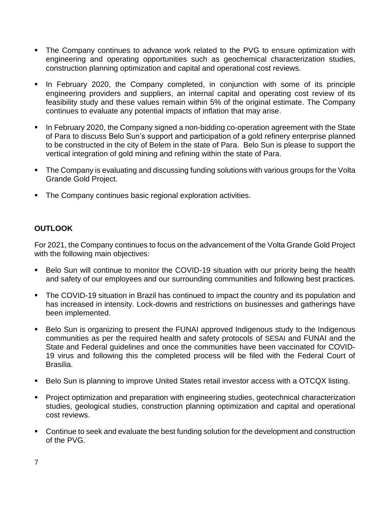- **.** The Company continues to advance work related to the PVG to ensure optimization with engineering and operating opportunities such as geochemical characterization studies, construction planning optimization and capital and operational cost reviews.
- **•** In February 2020, the Company completed, in conjunction with some of its principle engineering providers and suppliers, an internal capital and operating cost review of its feasibility study and these values remain within 5% of the original estimate. The Company continues to evaluate any potential impacts of inflation that may arise.
- In February 2020, the Company signed a non-bidding co-operation agreement with the State of Para to discuss Belo Sun's support and participation of a gold refinery enterprise planned to be constructed in the city of Belem in the state of Para. Belo Sun is please to support the vertical integration of gold mining and refining within the state of Para.
- The Company is evaluating and discussing funding solutions with various groups for the Volta Grande Gold Project.
- The Company continues basic regional exploration activities.

# **OUTLOOK**

For 2021, the Company continues to focus on the advancement of the Volta Grande Gold Project with the following main objectives:

- Belo Sun will continue to monitor the COVID-19 situation with our priority being the health and safety of our employees and our surrounding communities and following best practices.
- The COVID-19 situation in Brazil has continued to impact the country and its population and has increased in intensity. Lock-downs and restrictions on businesses and gatherings have been implemented.
- Belo Sun is organizing to present the FUNAI approved Indigenous study to the Indigenous communities as per the required health and safety protocols of SESAI and FUNAI and the State and Federal guidelines and once the communities have been vaccinated for COVID-19 virus and following this the completed process will be filed with the Federal Court of Brasilia.
- Belo Sun is planning to improve United States retail investor access with a OTCQX listing.
- **Project optimization and preparation with engineering studies, geotechnical characterization** studies, geological studies, construction planning optimization and capital and operational cost reviews.
- Continue to seek and evaluate the best funding solution for the development and construction of the PVG.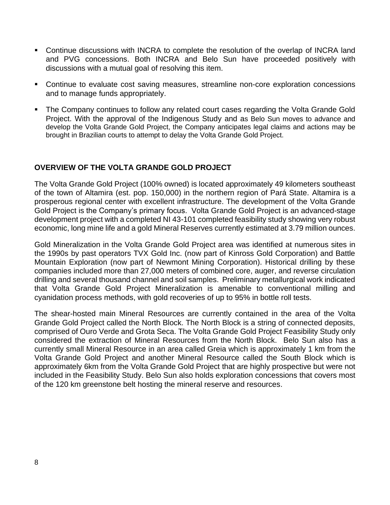- Continue discussions with INCRA to complete the resolution of the overlap of INCRA land and PVG concessions. Both INCRA and Belo Sun have proceeded positively with discussions with a mutual goal of resolving this item.
- Continue to evaluate cost saving measures, streamline non-core exploration concessions and to manage funds appropriately.
- The Company continues to follow any related court cases regarding the Volta Grande Gold Project. With the approval of the Indigenous Study and as Belo Sun moves to advance and develop the Volta Grande Gold Project, the Company anticipates legal claims and actions may be brought in Brazilian courts to attempt to delay the Volta Grande Gold Project.

# **OVERVIEW OF THE VOLTA GRANDE GOLD PROJECT**

The Volta Grande Gold Project (100% owned) is located approximately 49 kilometers southeast of the town of Altamira (est. pop. 150,000) in the northern region of Pará State. Altamira is a prosperous regional center with excellent infrastructure. The development of the Volta Grande Gold Project is the Company's primary focus. Volta Grande Gold Project is an advanced-stage development project with a completed NI 43-101 completed feasibility study showing very robust economic, long mine life and a gold Mineral Reserves currently estimated at 3.79 million ounces.

Gold Mineralization in the Volta Grande Gold Project area was identified at numerous sites in the 1990s by past operators TVX Gold Inc. (now part of Kinross Gold Corporation) and Battle Mountain Exploration (now part of Newmont Mining Corporation). Historical drilling by these companies included more than 27,000 meters of combined core, auger, and reverse circulation drilling and several thousand channel and soil samples. Preliminary metallurgical work indicated that Volta Grande Gold Project Mineralization is amenable to conventional milling and cyanidation process methods, with gold recoveries of up to 95% in bottle roll tests.

The shear-hosted main Mineral Resources are currently contained in the area of the Volta Grande Gold Project called the North Block. The North Block is a string of connected deposits, comprised of Ouro Verde and Grota Seca. The Volta Grande Gold Project Feasibility Study only considered the extraction of Mineral Resources from the North Block. Belo Sun also has a currently small Mineral Resource in an area called Greia which is approximately 1 km from the Volta Grande Gold Project and another Mineral Resource called the South Block which is approximately 6km from the Volta Grande Gold Project that are highly prospective but were not included in the Feasibility Study. Belo Sun also holds exploration concessions that covers most of the 120 km greenstone belt hosting the mineral reserve and resources.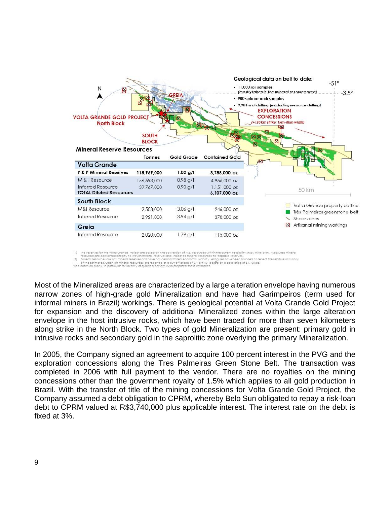

(1) The reserves for the Volta Grande Project are based on the conversion of M&I resources within the current Feasibility Study mine pian. Measured mineral<br>resources are converted directly to Proven mineral reserves and in

Most of the Mineralized areas are characterized by a large alteration envelope having numerous narrow zones of high-grade gold Mineralization and have had Garimpeiros (term used for informal miners in Brazil) workings. There is geological potential at Volta Grande Gold Project for expansion and the discovery of additional Mineralized zones within the large alteration envelope in the host intrusive rocks, which have been traced for more than seven kilometers along strike in the North Block. Two types of gold Mineralization are present: primary gold in intrusive rocks and secondary gold in the saprolitic zone overlying the primary Mineralization.

In 2005, the Company signed an agreement to acquire 100 percent interest in the PVG and the exploration concessions along the Tres Palmeiras Green Stone Belt. The transaction was completed in 2006 with full payment to the vendor. There are no royalties on the mining concessions other than the government royalty of 1.5% which applies to all gold production in Brazil. With the transfer of title of the mining concessions for Volta Grande Gold Project, the Company assumed a debt obligation to CPRM, whereby Belo Sun obligated to repay a risk-loan debt to CPRM valued at R\$3,740,000 plus applicable interest. The interest rate on the debt is fixed at 3%.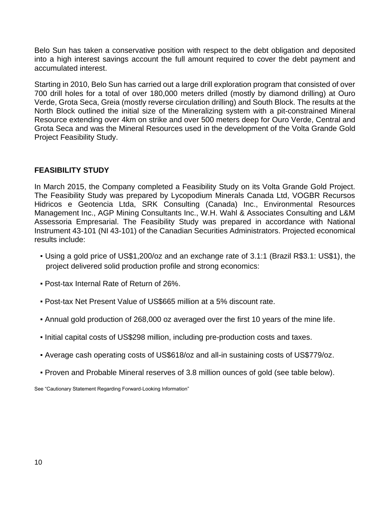Belo Sun has taken a conservative position with respect to the debt obligation and deposited into a high interest savings account the full amount required to cover the debt payment and accumulated interest.

Starting in 2010, Belo Sun has carried out a large drill exploration program that consisted of over 700 drill holes for a total of over 180,000 meters drilled (mostly by diamond drilling) at Ouro Verde, Grota Seca, Greia (mostly reverse circulation drilling) and South Block. The results at the North Block outlined the initial size of the Mineralizing system with a pit-constrained Mineral Resource extending over 4km on strike and over 500 meters deep for Ouro Verde, Central and Grota Seca and was the Mineral Resources used in the development of the Volta Grande Gold Project Feasibility Study.

# **FEASIBILITY STUDY**

In March 2015, the Company completed a Feasibility Study on its Volta Grande Gold Project. The Feasibility Study was prepared by Lycopodium Minerals Canada Ltd, VOGBR Recursos Hidricos e Geotencia Ltda, SRK Consulting (Canada) Inc., Environmental Resources Management Inc., AGP Mining Consultants Inc., W.H. Wahl & Associates Consulting and L&M Assessoria Empresarial. The Feasibility Study was prepared in accordance with National Instrument 43-101 (NI 43-101) of the Canadian Securities Administrators. Projected economical results include:

- Using a gold price of US\$1,200/oz and an exchange rate of 3.1:1 (Brazil R\$3.1: US\$1), the project delivered solid production profile and strong economics:
- Post-tax Internal Rate of Return of 26%.
- Post-tax Net Present Value of US\$665 million at a 5% discount rate.
- Annual gold production of 268,000 oz averaged over the first 10 years of the mine life.
- Initial capital costs of US\$298 million, including pre-production costs and taxes.
- Average cash operating costs of US\$618/oz and all-in sustaining costs of US\$779/oz.
- Proven and Probable Mineral reserves of 3.8 million ounces of gold (see table below).

See "Cautionary Statement Regarding Forward-Looking Information"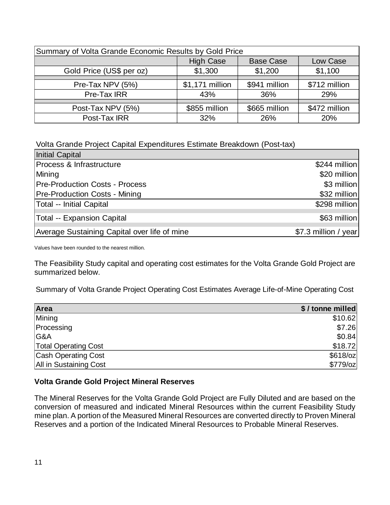| Summary of Volta Grande Economic Results by Gold Price |                 |               |               |  |  |  |
|--------------------------------------------------------|-----------------|---------------|---------------|--|--|--|
| <b>High Case</b><br><b>Base Case</b><br>Low Case       |                 |               |               |  |  |  |
| Gold Price (US\$ per oz)                               | \$1,300         | \$1,200       | \$1,100       |  |  |  |
|                                                        |                 |               |               |  |  |  |
| Pre-Tax NPV (5%)                                       | \$1,171 million | \$941 million | \$712 million |  |  |  |
| Pre-Tax IRR                                            | 43%             | 36%           | 29%           |  |  |  |
|                                                        |                 |               |               |  |  |  |
| Post-Tax NPV (5%)                                      | \$855 million   | \$665 million | \$472 million |  |  |  |
| Post-Tax IRR                                           | 32%             | 26%           | 20%           |  |  |  |

Volta Grande Project Capital Expenditures Estimate Breakdown (Post-tax)

| Initial Capital                              |                      |
|----------------------------------------------|----------------------|
| Process & Infrastructure                     | \$244 million        |
| Mining                                       | \$20 million         |
| <b>Pre-Production Costs - Process</b>        | \$3 million          |
| <b>Pre-Production Costs - Mining</b>         | \$32 million         |
| Total -- Initial Capital                     | \$298 million        |
| Total -- Expansion Capital                   | \$63 million         |
| Average Sustaining Capital over life of mine | \$7.3 million / year |

Values have been rounded to the nearest million.

The Feasibility Study capital and operating cost estimates for the Volta Grande Gold Project are summarized below.

Summary of Volta Grande Project Operating Cost Estimates Average Life-of-Mine Operating Cost

| Area                        | \$/tonne milled |
|-----------------------------|-----------------|
| Mining                      | \$10.62         |
| Processing                  | \$7.26          |
| G&A                         | \$0.84          |
| <b>Total Operating Cost</b> | \$18.72         |
| <b>Cash Operating Cost</b>  | $$618$ /oz      |
| All in Sustaining Cost      | $$779$ /oz      |

# **Volta Grande Gold Project Mineral Reserves**

The Mineral Reserves for the Volta Grande Gold Project are Fully Diluted and are based on the conversion of measured and indicated Mineral Resources within the current Feasibility Study mine plan. A portion of the Measured Mineral Resources are converted directly to Proven Mineral Reserves and a portion of the Indicated Mineral Resources to Probable Mineral Reserves.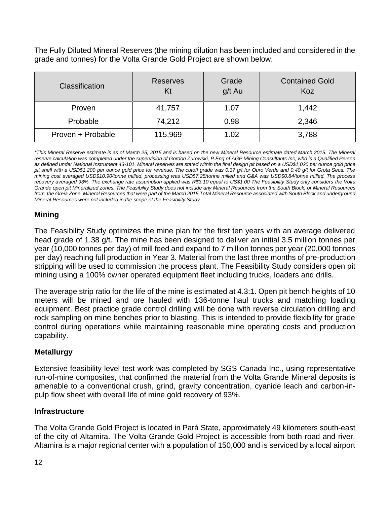The Fully Diluted Mineral Reserves (the mining dilution has been included and considered in the grade and tonnes) for the Volta Grande Gold Project are shown below.

| <b>Classification</b> | <b>Reserves</b><br>Kt | Grade<br>g/t Au | <b>Contained Gold</b><br>Koz |
|-----------------------|-----------------------|-----------------|------------------------------|
| Proven                | 41,757                | 1.07            | 1,442                        |
| Probable              | 74,212                | 0.98            | 2,346                        |
| Proven + Probable     | 115,969               | 1.02            | 3,788                        |

*\*This Mineral Reserve estimate is as of March 25, 2015 and is based on the new Mineral Resource estimate dated March 2015. The Mineral reserve calculation was completed under the supervision of Gordon Zurowski, P.Eng of AGP Mining Consultants Inc, who is a Qualified Person as defined under National Instrument 43-101. Mineral reserves are stated within the final design pit based on a USD\$1,020 per ounce gold price pit shell with a USD\$1,200 per ounce gold price for revenue. The cutoff grade was 0.37 g/t for Ouro Verde and 0.40 g/t for Grota Seca. The mining cost averaged USD\$10.90/tonne milled, processing was USD\$7.25/tonne milled and G&A was USD\$0.84/tonne milled. The process recovery averaged 93%. The exchange rate assumption applied was R\$3.10 equal to US\$1.00 The Feasibility Study only considers the Volta Grande open pit Mineralized zones. The Feasibility Study does not include any Mineral Resources from the South Block, or Mineral Resources from the Greia Zone. Mineral Resources that were part of the March 2015 Total Mineral Resource associated with South Block and underground Mineral Resources were not included in the scope of the Feasibility Study.* 

# **Mining**

The Feasibility Study optimizes the mine plan for the first ten years with an average delivered head grade of 1.38 g/t. The mine has been designed to deliver an initial 3.5 million tonnes per year (10,000 tonnes per day) of mill feed and expand to 7 million tonnes per year (20,000 tonnes per day) reaching full production in Year 3. Material from the last three months of pre-production stripping will be used to commission the process plant. The Feasibility Study considers open pit mining using a 100% owner operated equipment fleet including trucks, loaders and drills.

The average strip ratio for the life of the mine is estimated at 4.3:1. Open pit bench heights of 10 meters will be mined and ore hauled with 136-tonne haul trucks and matching loading equipment. Best practice grade control drilling will be done with reverse circulation drilling and rock sampling on mine benches prior to blasting. This is intended to provide flexibility for grade control during operations while maintaining reasonable mine operating costs and production capability.

# **Metallurgy**

Extensive feasibility level test work was completed by SGS Canada Inc., using representative run-of-mine composites, that confirmed the material from the Volta Grande Mineral deposits is amenable to a conventional crush, grind, gravity concentration, cyanide leach and carbon-inpulp flow sheet with overall life of mine gold recovery of 93%.

# **Infrastructure**

The Volta Grande Gold Project is located in Pará State, approximately 49 kilometers south-east of the city of Altamira. The Volta Grande Gold Project is accessible from both road and river. Altamira is a major regional center with a population of 150,000 and is serviced by a local airport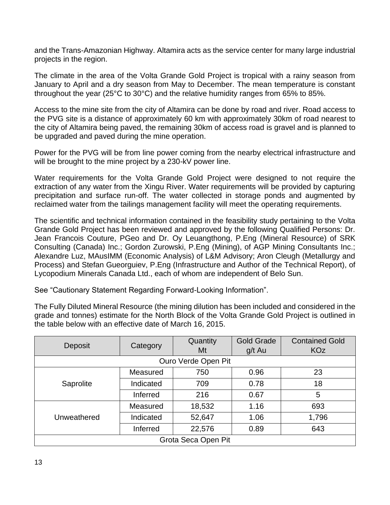and the Trans-Amazonian Highway. Altamira acts as the service center for many large industrial projects in the region.

The climate in the area of the Volta Grande Gold Project is tropical with a rainy season from January to April and a dry season from May to December. The mean temperature is constant throughout the year (25°C to 30°C) and the relative humidity ranges from 65% to 85%.

Access to the mine site from the city of Altamira can be done by road and river. Road access to the PVG site is a distance of approximately 60 km with approximately 30km of road nearest to the city of Altamira being paved, the remaining 30km of access road is gravel and is planned to be upgraded and paved during the mine operation.

Power for the PVG will be from line power coming from the nearby electrical infrastructure and will be brought to the mine project by a 230-kV power line.

Water requirements for the Volta Grande Gold Project were designed to not require the extraction of any water from the Xingu River. Water requirements will be provided by capturing precipitation and surface run-off. The water collected in storage ponds and augmented by reclaimed water from the tailings management facility will meet the operating requirements.

The scientific and technical information contained in the feasibility study pertaining to the Volta Grande Gold Project has been reviewed and approved by the following Qualified Persons: Dr. Jean Francois Couture, PGeo and Dr. Oy Leuangthong, P.Eng (Mineral Resource) of SRK Consulting (Canada) Inc.; Gordon Zurowski, P.Eng (Mining), of AGP Mining Consultants Inc.; Alexandre Luz, MAusIMM (Economic Analysis) of L&M Advisory; Aron Cleugh (Metallurgy and Process) and Stefan Gueorguiev, P.Eng (Infrastructure and Author of the Technical Report), of Lycopodium Minerals Canada Ltd., each of whom are independent of Belo Sun.

See "Cautionary Statement Regarding Forward-Looking Information".

The Fully Diluted Mineral Resource (the mining dilution has been included and considered in the grade and tonnes) estimate for the North Block of the Volta Grande Gold Project is outlined in the table below with an effective date of March 16, 2015.

|                     |                 | Quantity | <b>Gold Grade</b> | <b>Contained Gold</b> |  |  |
|---------------------|-----------------|----------|-------------------|-----------------------|--|--|
| Deposit             | Category        | Mt       | g/t Au            | <b>KOz</b>            |  |  |
| Ouro Verde Open Pit |                 |          |                   |                       |  |  |
|                     | Measured        | 750      | 0.96              | 23                    |  |  |
| Saprolite           | Indicated       | 709      | 0.78              | 18                    |  |  |
|                     | <b>Inferred</b> | 216      | 0.67              | 5                     |  |  |
|                     | Measured        | 18,532   | 1.16              | 693                   |  |  |
| Unweathered         | Indicated       | 52,647   | 1.06              | 1,796                 |  |  |
|                     | <b>Inferred</b> | 22,576   | 0.89              | 643                   |  |  |
| Grota Seca Open Pit |                 |          |                   |                       |  |  |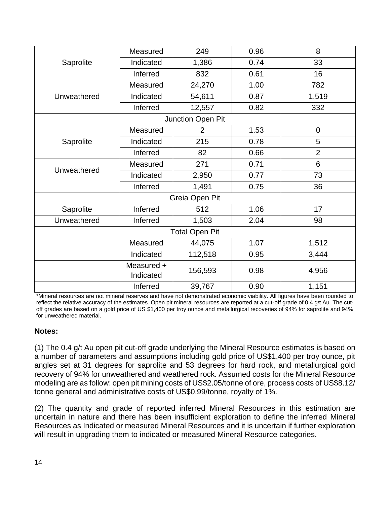|             | Measured                | 249                   | 0.96 | 8              |
|-------------|-------------------------|-----------------------|------|----------------|
| Saprolite   | Indicated               | 1,386                 | 0.74 | 33             |
|             | Inferred                | 832                   | 0.61 | 16             |
|             | Measured                | 24,270                | 1.00 | 782            |
| Unweathered | Indicated               | 54,611                | 0.87 | 1,519          |
|             | Inferred                | 12,557                | 0.82 | 332            |
|             |                         | Junction Open Pit     |      |                |
|             | Measured                | $\overline{2}$        | 1.53 | $\mathbf 0$    |
| Saprolite   | Indicated               | 215                   | 0.78 | 5              |
|             | Inferred                | 82                    | 0.66 | $\overline{2}$ |
|             | Measured                | 271                   | 0.71 | 6              |
| Unweathered | Indicated               | 2,950                 | 0.77 | 73             |
|             | Inferred                | 1,491                 | 0.75 | 36             |
|             |                         | Greia Open Pit        |      |                |
| Saprolite   | Inferred                | 512                   | 1.06 | 17             |
| Unweathered | Inferred                | 1,503                 | 2.04 | 98             |
|             |                         | <b>Total Open Pit</b> |      |                |
|             | Measured                | 44,075                | 1.07 | 1,512          |
|             | Indicated               | 112,518               | 0.95 | 3,444          |
|             | Measured +<br>Indicated | 156,593               | 0.98 | 4,956          |
|             | Inferred                | 39,767                | 0.90 | 1,151          |

\*Mineral resources are not mineral reserves and have not demonstrated economic viability. All figures have been rounded to reflect the relative accuracy of the estimates. Open pit mineral resources are reported at a cut-off grade of 0.4 g/t Au. The cutoff grades are based on a gold price of US \$1,400 per troy ounce and metallurgical recoveries of 94% for saprolite and 94% for unweathered material.

# **Notes:**

(1) The 0.4 g/t Au open pit cut-off grade underlying the Mineral Resource estimates is based on a number of parameters and assumptions including gold price of US\$1,400 per troy ounce, pit angles set at 31 degrees for saprolite and 53 degrees for hard rock, and metallurgical gold recovery of 94% for unweathered and weathered rock. Assumed costs for the Mineral Resource modeling are as follow: open pit mining costs of US\$2.05/tonne of ore, process costs of US\$8.12/ tonne general and administrative costs of US\$0.99/tonne, royalty of 1%.

(2) The quantity and grade of reported inferred Mineral Resources in this estimation are uncertain in nature and there has been insufficient exploration to define the inferred Mineral Resources as Indicated or measured Mineral Resources and it is uncertain if further exploration will result in upgrading them to indicated or measured Mineral Resource categories.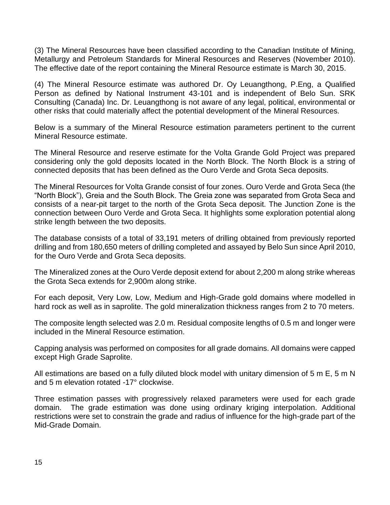(3) The Mineral Resources have been classified according to the Canadian Institute of Mining, Metallurgy and Petroleum Standards for Mineral Resources and Reserves (November 2010). The effective date of the report containing the Mineral Resource estimate is March 30, 2015.

(4) The Mineral Resource estimate was authored Dr. Oy Leuangthong, P.Eng, a Qualified Person as defined by National Instrument 43-101 and is independent of Belo Sun. SRK Consulting (Canada) Inc. Dr. Leuangthong is not aware of any legal, political, environmental or other risks that could materially affect the potential development of the Mineral Resources.

Below is a summary of the Mineral Resource estimation parameters pertinent to the current Mineral Resource estimate.

The Mineral Resource and reserve estimate for the Volta Grande Gold Project was prepared considering only the gold deposits located in the North Block. The North Block is a string of connected deposits that has been defined as the Ouro Verde and Grota Seca deposits.

The Mineral Resources for Volta Grande consist of four zones. Ouro Verde and Grota Seca (the "North Block"), Greia and the South Block. The Greia zone was separated from Grota Seca and consists of a near-pit target to the north of the Grota Seca deposit. The Junction Zone is the connection between Ouro Verde and Grota Seca. It highlights some exploration potential along strike length between the two deposits.

The database consists of a total of 33,191 meters of drilling obtained from previously reported drilling and from 180,650 meters of drilling completed and assayed by Belo Sun since April 2010, for the Ouro Verde and Grota Seca deposits.

The Mineralized zones at the Ouro Verde deposit extend for about 2,200 m along strike whereas the Grota Seca extends for 2,900m along strike.

For each deposit, Very Low, Low, Medium and High-Grade gold domains where modelled in hard rock as well as in saprolite. The gold mineralization thickness ranges from 2 to 70 meters.

The composite length selected was 2.0 m. Residual composite lengths of 0.5 m and longer were included in the Mineral Resource estimation.

Capping analysis was performed on composites for all grade domains. All domains were capped except High Grade Saprolite.

All estimations are based on a fully diluted block model with unitary dimension of 5 m E, 5 m N and 5 m elevation rotated -17° clockwise.

Three estimation passes with progressively relaxed parameters were used for each grade domain. The grade estimation was done using ordinary kriging interpolation. Additional restrictions were set to constrain the grade and radius of influence for the high-grade part of the Mid-Grade Domain.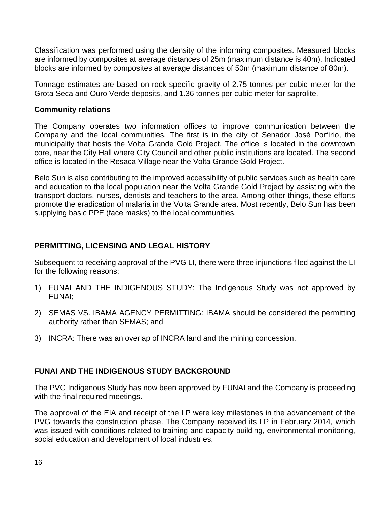Classification was performed using the density of the informing composites. Measured blocks are informed by composites at average distances of 25m (maximum distance is 40m). Indicated blocks are informed by composites at average distances of 50m (maximum distance of 80m).

Tonnage estimates are based on rock specific gravity of 2.75 tonnes per cubic meter for the Grota Seca and Ouro Verde deposits, and 1.36 tonnes per cubic meter for saprolite.

#### **Community relations**

The Company operates two information offices to improve communication between the Company and the local communities. The first is in the city of Senador José Porfírio, the municipality that hosts the Volta Grande Gold Project. The office is located in the downtown core, near the City Hall where City Council and other public institutions are located. The second office is located in the Resaca Village near the Volta Grande Gold Project.

Belo Sun is also contributing to the improved accessibility of public services such as health care and education to the local population near the Volta Grande Gold Project by assisting with the transport doctors, nurses, dentists and teachers to the area. Among other things, these efforts promote the eradication of malaria in the Volta Grande area. Most recently, Belo Sun has been supplying basic PPE (face masks) to the local communities.

# **PERMITTING, LICENSING AND LEGAL HISTORY**

Subsequent to receiving approval of the PVG LI, there were three injunctions filed against the LI for the following reasons:

- 1) FUNAI AND THE INDIGENOUS STUDY: The Indigenous Study was not approved by FUNAI;
- 2) SEMAS VS. IBAMA AGENCY PERMITTING: IBAMA should be considered the permitting authority rather than SEMAS; and
- 3) INCRA: There was an overlap of INCRA land and the mining concession.

# **FUNAI AND THE INDIGENOUS STUDY BACKGROUND**

The PVG Indigenous Study has now been approved by FUNAI and the Company is proceeding with the final required meetings.

The approval of the EIA and receipt of the LP were key milestones in the advancement of the PVG towards the construction phase. The Company received its LP in February 2014, which was issued with conditions related to training and capacity building, environmental monitoring, social education and development of local industries.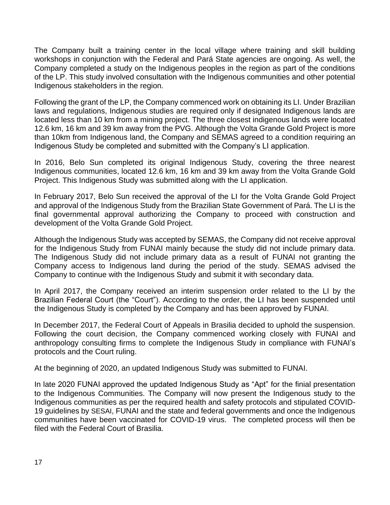The Company built a training center in the local village where training and skill building workshops in conjunction with the Federal and Pará State agencies are ongoing. As well, the Company completed a study on the Indigenous peoples in the region as part of the conditions of the LP. This study involved consultation with the Indigenous communities and other potential Indigenous stakeholders in the region.

Following the grant of the LP, the Company commenced work on obtaining its LI. Under Brazilian laws and regulations, Indigenous studies are required only if designated Indigenous lands are located less than 10 km from a mining project. The three closest indigenous lands were located 12.6 km, 16 km and 39 km away from the PVG. Although the Volta Grande Gold Project is more than 10km from Indigenous land, the Company and SEMAS agreed to a condition requiring an Indigenous Study be completed and submitted with the Company's LI application.

In 2016, Belo Sun completed its original Indigenous Study, covering the three nearest Indigenous communities, located 12.6 km, 16 km and 39 km away from the Volta Grande Gold Project. This Indigenous Study was submitted along with the LI application.

In February 2017, Belo Sun received the approval of the LI for the Volta Grande Gold Project and approval of the Indigenous Study from the Brazilian State Government of Pará. The LI is the final governmental approval authorizing the Company to proceed with construction and development of the Volta Grande Gold Project.

Although the Indigenous Study was accepted by SEMAS, the Company did not receive approval for the Indigenous Study from FUNAI mainly because the study did not include primary data. The Indigenous Study did not include primary data as a result of FUNAI not granting the Company access to Indigenous land during the period of the study. SEMAS advised the Company to continue with the Indigenous Study and submit it with secondary data.

In April 2017, the Company received an interim suspension order related to the LI by the Brazilian Federal Court (the "Court"). According to the order, the LI has been suspended until the Indigenous Study is completed by the Company and has been approved by FUNAI.

In December 2017, the Federal Court of Appeals in Brasilia decided to uphold the suspension. Following the court decision, the Company commenced working closely with FUNAI and anthropology consulting firms to complete the Indigenous Study in compliance with FUNAI's protocols and the Court ruling.

At the beginning of 2020, an updated Indigenous Study was submitted to FUNAI.

In late 2020 FUNAI approved the updated Indigenous Study as "Apt" for the finial presentation to the Indigenous Communities. The Company will now present the Indigenous study to the Indigenous communities as per the required health and safety protocols and stipulated COVID-19 guidelines by SESAI, FUNAI and the state and federal governments and once the Indigenous communities have been vaccinated for COVID-19 virus. The completed process will then be filed with the Federal Court of Brasilia.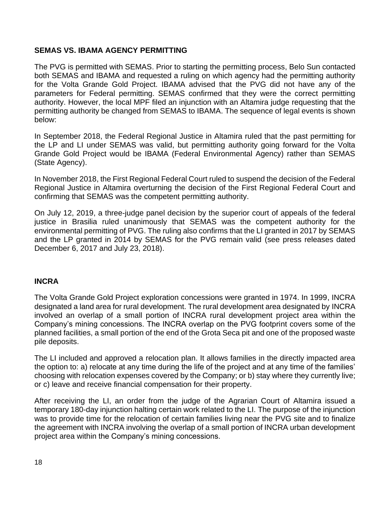# **SEMAS VS. IBAMA AGENCY PERMITTING**

The PVG is permitted with SEMAS. Prior to starting the permitting process, Belo Sun contacted both SEMAS and IBAMA and requested a ruling on which agency had the permitting authority for the Volta Grande Gold Project. IBAMA advised that the PVG did not have any of the parameters for Federal permitting. SEMAS confirmed that they were the correct permitting authority. However, the local MPF filed an injunction with an Altamira judge requesting that the permitting authority be changed from SEMAS to IBAMA. The sequence of legal events is shown below:

In September 2018, the Federal Regional Justice in Altamira ruled that the past permitting for the LP and LI under SEMAS was valid, but permitting authority going forward for the Volta Grande Gold Project would be IBAMA (Federal Environmental Agency) rather than SEMAS (State Agency).

In November 2018, the First Regional Federal Court ruled to suspend the decision of the Federal Regional Justice in Altamira overturning the decision of the First Regional Federal Court and confirming that SEMAS was the competent permitting authority.

On July 12, 2019, a three-judge panel decision by the superior court of appeals of the federal justice in Brasilia ruled unanimously that SEMAS was the competent authority for the environmental permitting of PVG. The ruling also confirms that the LI granted in 2017 by SEMAS and the LP granted in 2014 by SEMAS for the PVG remain valid (see press releases dated December 6, 2017 and July 23, 2018).

# **INCRA**

The Volta Grande Gold Project exploration concessions were granted in 1974. In 1999, INCRA designated a land area for rural development. The rural development area designated by INCRA involved an overlap of a small portion of INCRA rural development project area within the Company's mining concessions. The INCRA overlap on the PVG footprint covers some of the planned facilities, a small portion of the end of the Grota Seca pit and one of the proposed waste pile deposits.

The LI included and approved a relocation plan. It allows families in the directly impacted area the option to: a) relocate at any time during the life of the project and at any time of the families' choosing with relocation expenses covered by the Company; or b) stay where they currently live; or c) leave and receive financial compensation for their property.

After receiving the LI, an order from the judge of the Agrarian Court of Altamira issued a temporary 180-day injunction halting certain work related to the LI. The purpose of the injunction was to provide time for the relocation of certain families living near the PVG site and to finalize the agreement with INCRA involving the overlap of a small portion of INCRA urban development project area within the Company's mining concessions.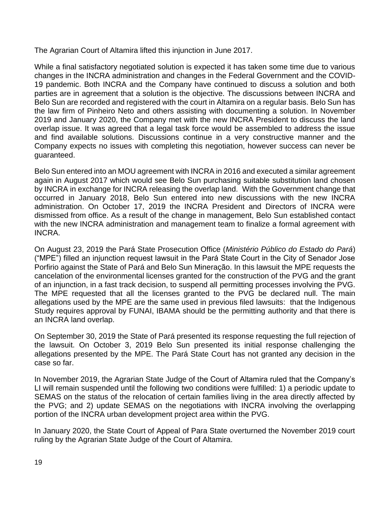The Agrarian Court of Altamira lifted this injunction in June 2017.

While a final satisfactory negotiated solution is expected it has taken some time due to various changes in the INCRA administration and changes in the Federal Government and the COVID-19 pandemic. Both INCRA and the Company have continued to discuss a solution and both parties are in agreement that a solution is the objective. The discussions between INCRA and Belo Sun are recorded and registered with the court in Altamira on a regular basis. Belo Sun has the law firm of Pinheiro Neto and others assisting with documenting a solution. In November 2019 and January 2020, the Company met with the new INCRA President to discuss the land overlap issue. It was agreed that a legal task force would be assembled to address the issue and find available solutions. Discussions continue in a very constructive manner and the Company expects no issues with completing this negotiation, however success can never be guaranteed.

Belo Sun entered into an MOU agreement with INCRA in 2016 and executed a similar agreement again in August 2017 which would see Belo Sun purchasing suitable substitution land chosen by INCRA in exchange for INCRA releasing the overlap land. With the Government change that occurred in January 2018, Belo Sun entered into new discussions with the new INCRA administration. On October 17, 2019 the INCRA President and Directors of INCRA were dismissed from office. As a result of the change in management, Belo Sun established contact with the new INCRA administration and management team to finalize a formal agreement with INCRA.

On August 23, 2019 the Pará State Prosecution Office (*Ministério Público do Estado do Pará*) ("MPE") filled an injunction request lawsuit in the Pará State Court in the City of Senador Jose Porfirio against the State of Pará and Belo Sun Mineração. In this lawsuit the MPE requests the cancelation of the environmental licenses granted for the construction of the PVG and the grant of an injunction, in a fast track decision, to suspend all permitting processes involving the PVG. The MPE requested that all the licenses granted to the PVG be declared null. The main allegations used by the MPE are the same used in previous filed lawsuits: that the Indigenous Study requires approval by FUNAI, IBAMA should be the permitting authority and that there is an INCRA land overlap.

On September 30, 2019 the State of Pará presented its response requesting the full rejection of the lawsuit. On October 3, 2019 Belo Sun presented its initial response challenging the allegations presented by the MPE. The Pará State Court has not granted any decision in the case so far.

In November 2019, the Agrarian State Judge of the Court of Altamira ruled that the Company's LI will remain suspended until the following two conditions were fulfilled: 1) a periodic update to SEMAS on the status of the relocation of certain families living in the area directly affected by the PVG; and 2) update SEMAS on the negotiations with INCRA involving the overlapping portion of the INCRA urban development project area within the PVG.

In January 2020, the State Court of Appeal of Para State overturned the November 2019 court ruling by the Agrarian State Judge of the Court of Altamira.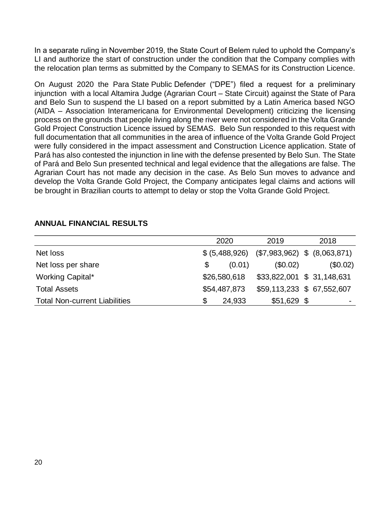In a separate ruling in November 2019, the State Court of Belem ruled to uphold the Company's LI and authorize the start of construction under the condition that the Company complies with the relocation plan terms as submitted by the Company to SEMAS for its Construction Licence.

On August 2020 the Para State Public Defender ("DPE") filed a request for a preliminary injunction with a local Altamira Judge (Agrarian Court – State Circuit) against the State of Para and Belo Sun to suspend the LI based on a report submitted by a Latin America based NGO (AIDA – Association Interamericana for Environmental Development) criticizing the licensing process on the grounds that people living along the river were not considered in the Volta Grande Gold Project Construction Licence issued by SEMAS. Belo Sun responded to this request with full documentation that all communities in the area of influence of the Volta Grande Gold Project were fully considered in the impact assessment and Construction Licence application. State of Pará has also contested the injunction in line with the defense presented by Belo Sun. The State of Pará and Belo Sun presented technical and legal evidence that the allegations are false. The Agrarian Court has not made any decision in the case. As Belo Sun moves to advance and develop the Volta Grande Gold Project, the Company anticipates legal claims and actions will be brought in Brazilian courts to attempt to delay or stop the Volta Grande Gold Project.

|                                      | 2020 |              | 2019                                            |  | 2018                     |
|--------------------------------------|------|--------------|-------------------------------------------------|--|--------------------------|
| Net loss                             |      |              | $$ (5,488,926)$ $($7,983,962)$ \$ $(8,063,871)$ |  |                          |
| Net loss per share                   | \$   | (0.01)       | (\$0.02)                                        |  | (\$0.02)                 |
| Working Capital*                     |      | \$26,580,618 | \$33,822,001 \$ 31,148,631                      |  |                          |
| <b>Total Assets</b>                  |      | \$54,487,873 | \$59,113,233 \$ 67,552,607                      |  |                          |
| <b>Total Non-current Liabilities</b> |      | 24,933       | $$51,629$ \$                                    |  | $\overline{\phantom{0}}$ |

# **ANNUAL FINANCIAL RESULTS**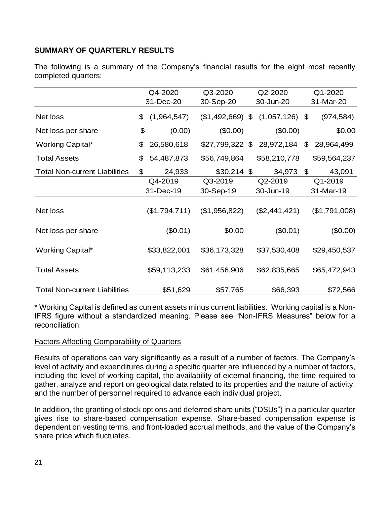# **SUMMARY OF QUARTERLY RESULTS**

The following is a summary of the Company's financial results for the eight most recently completed quarters:

|                                      | Q4-2020           |                   | Q2-2020          | Q1-2020          |  |  |
|--------------------------------------|-------------------|-------------------|------------------|------------------|--|--|
|                                      | 31-Dec-20         | 30-Sep-20         | 30-Jun-20        | 31-Mar-20        |  |  |
| Net loss                             | (1,964,547)<br>\$ | $($1,492,669)$ \$ | $(1,057,126)$ \$ | (974, 584)       |  |  |
| Net loss per share                   | \$<br>(0.00)      | (\$0.00)          | (\$0.00)         | \$0.00           |  |  |
| <b>Working Capital*</b>              | 26,580,618<br>\$  | \$27,799,322 \$   | 28,972,184       | 28,964,499<br>\$ |  |  |
| <b>Total Assets</b>                  | \$<br>54,487,873  | \$56,749,864      | \$58,210,778     | \$59,564,237     |  |  |
| <b>Total Non-current Liabilities</b> | \$<br>24,933      | $$30,214$ \$      | 34,973           | \$<br>43,091     |  |  |
|                                      | Q4-2019           | Q3-2019           | Q2-2019          | Q1-2019          |  |  |
|                                      | 31-Dec-19         | 30-Sep-19         | 30-Jun-19        | 31-Mar-19        |  |  |
| Net loss                             | (\$1,794,711)     | (\$1,956,822)     | (\$2,441,421)    | (\$1,791,008)    |  |  |
| Net loss per share                   | (\$0.01)          | \$0.00            | (\$0.01)         | (\$0.00)         |  |  |
| <b>Working Capital*</b>              | \$33,822,001      | \$36,173,328      | \$37,530,408     | \$29,450,537     |  |  |
| <b>Total Assets</b>                  | \$59,113,233      | \$61,456,906      | \$62,835,665     | \$65,472,943     |  |  |
| <b>Total Non-current Liabilities</b> | \$51,629          | \$57,765          | \$66,393         | \$72,566         |  |  |

\* Working Capital is defined as current assets minus current liabilities. Working capital is a Non-IFRS figure without a standardized meaning. Please see "Non-IFRS Measures" below for a reconciliation.

# Factors Affecting Comparability of Quarters

Results of operations can vary significantly as a result of a number of factors. The Company's level of activity and expenditures during a specific quarter are influenced by a number of factors, including the level of working capital, the availability of external financing, the time required to gather, analyze and report on geological data related to its properties and the nature of activity, and the number of personnel required to advance each individual project.

In addition, the granting of stock options and deferred share units ("DSUs") in a particular quarter gives rise to share-based compensation expense. Share-based compensation expense is dependent on vesting terms, and front-loaded accrual methods, and the value of the Company's share price which fluctuates.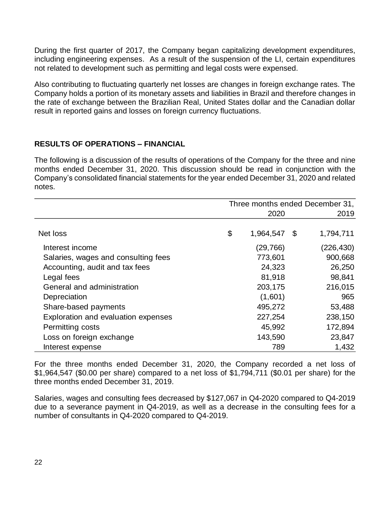During the first quarter of 2017, the Company began capitalizing development expenditures, including engineering expenses. As a result of the suspension of the LI, certain expenditures not related to development such as permitting and legal costs were expensed.

Also contributing to fluctuating quarterly net losses are changes in foreign exchange rates. The Company holds a portion of its monetary assets and liabilities in Brazil and therefore changes in the rate of exchange between the Brazilian Real, United States dollar and the Canadian dollar result in reported gains and losses on foreign currency fluctuations.

# **RESULTS OF OPERATIONS – FINANCIAL**

The following is a discussion of the results of operations of the Company for the three and nine months ended December 31, 2020. This discussion should be read in conjunction with the Company's consolidated financial statements for the year ended December 31, 2020 and related notes.

|                                     | Three months ended December 31, |           |      |            |
|-------------------------------------|---------------------------------|-----------|------|------------|
|                                     | 2020                            |           |      | 2019       |
|                                     |                                 |           |      |            |
| Net loss                            | \$                              | 1,964,547 | - \$ | 1,794,711  |
| Interest income                     |                                 | (29, 766) |      | (226, 430) |
| Salaries, wages and consulting fees |                                 | 773,601   |      | 900,668    |
| Accounting, audit and tax fees      |                                 | 24,323    |      | 26,250     |
| Legal fees                          |                                 | 81,918    |      | 98,841     |
| General and administration          |                                 | 203,175   |      | 216,015    |
| Depreciation                        |                                 | (1,601)   |      | 965        |
| Share-based payments                |                                 | 495,272   |      | 53,488     |
| Exploration and evaluation expenses |                                 | 227,254   |      | 238,150    |
| Permitting costs                    |                                 | 45,992    |      | 172,894    |
| Loss on foreign exchange            |                                 | 143,590   |      | 23,847     |
| Interest expense                    |                                 | 789       |      | 1,432      |

For the three months ended December 31, 2020, the Company recorded a net loss of \$1,964,547 (\$0.00 per share) compared to a net loss of \$1,794,711 (\$0.01 per share) for the three months ended December 31, 2019.

Salaries, wages and consulting fees decreased by \$127,067 in Q4-2020 compared to Q4-2019 due to a severance payment in Q4-2019, as well as a decrease in the consulting fees for a number of consultants in Q4-2020 compared to Q4-2019.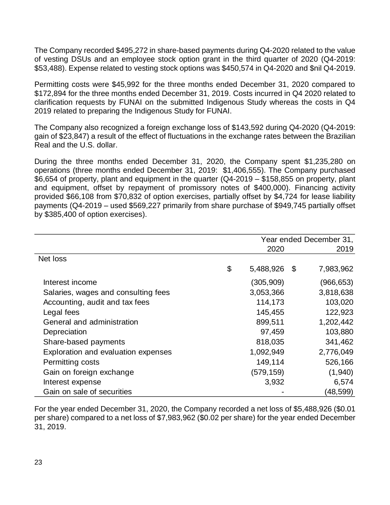The Company recorded \$495,272 in share-based payments during Q4-2020 related to the value of vesting DSUs and an employee stock option grant in the third quarter of 2020 (Q4-2019: \$53,488). Expense related to vesting stock options was \$450,574 in Q4-2020 and \$nil Q4-2019.

Permitting costs were \$45,992 for the three months ended December 31, 2020 compared to \$172,894 for the three months ended December 31, 2019. Costs incurred in Q4 2020 related to clarification requests by FUNAI on the submitted Indigenous Study whereas the costs in Q4 2019 related to preparing the Indigenous Study for FUNAI.

The Company also recognized a foreign exchange loss of \$143,592 during Q4-2020 (Q4-2019: gain of \$23,847) a result of the effect of fluctuations in the exchange rates between the Brazilian Real and the U.S. dollar.

During the three months ended December 31, 2020, the Company spent \$1,235,280 on operations (three months ended December 31, 2019: \$1,406,555). The Company purchased \$6,654 of property, plant and equipment in the quarter (Q4-2019 – \$158,855 on property, plant and equipment, offset by repayment of promissory notes of \$400,000). Financing activity provided \$66,108 from \$70,832 of option exercises, partially offset by \$4,724 for lease liability payments (Q4-2019 – used \$569,227 primarily from share purchase of \$949,745 partially offset by \$385,400 of option exercises).

|                                     | Year ended December 31, |      |           |  |
|-------------------------------------|-------------------------|------|-----------|--|
|                                     | 2020                    |      | 2019      |  |
| Net loss                            |                         |      |           |  |
|                                     | \$<br>5,488,926         | - \$ | 7,983,962 |  |
| Interest income                     | (305,909)               |      | (966,653) |  |
| Salaries, wages and consulting fees | 3,053,366               |      | 3,818,638 |  |
| Accounting, audit and tax fees      | 114,173                 |      | 103,020   |  |
| Legal fees                          | 145,455                 |      | 122,923   |  |
| General and administration          | 899,511                 |      | 1,202,442 |  |
| Depreciation                        | 97,459                  |      | 103,880   |  |
| Share-based payments                | 818,035                 |      | 341,462   |  |
| Exploration and evaluation expenses | 1,092,949               |      | 2,776,049 |  |
| Permitting costs                    | 149,114                 |      | 526,166   |  |
| Gain on foreign exchange            | (579,159)               |      | (1,940)   |  |
| Interest expense                    | 3,932                   |      | 6,574     |  |
| Gain on sale of securities          |                         |      | (48,599)  |  |

For the year ended December 31, 2020, the Company recorded a net loss of \$5,488,926 (\$0.01 per share) compared to a net loss of \$7,983,962 (\$0.02 per share) for the year ended December 31, 2019.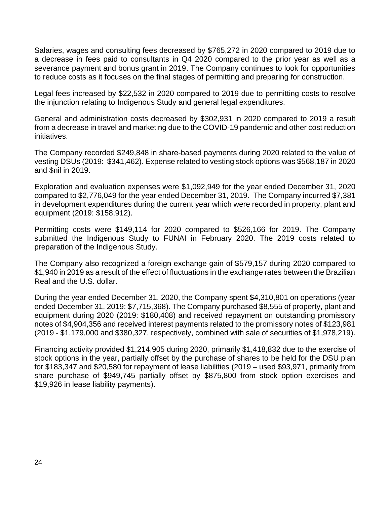Salaries, wages and consulting fees decreased by \$765,272 in 2020 compared to 2019 due to a decrease in fees paid to consultants in Q4 2020 compared to the prior year as well as a severance payment and bonus grant in 2019. The Company continues to look for opportunities to reduce costs as it focuses on the final stages of permitting and preparing for construction.

Legal fees increased by \$22,532 in 2020 compared to 2019 due to permitting costs to resolve the injunction relating to Indigenous Study and general legal expenditures.

General and administration costs decreased by \$302,931 in 2020 compared to 2019 a result from a decrease in travel and marketing due to the COVID-19 pandemic and other cost reduction initiatives.

The Company recorded \$249,848 in share-based payments during 2020 related to the value of vesting DSUs (2019: \$341,462). Expense related to vesting stock options was \$568,187 in 2020 and \$nil in 2019.

Exploration and evaluation expenses were \$1,092,949 for the year ended December 31, 2020 compared to \$2,776,049 for the year ended December 31, 2019. The Company incurred \$7,381 in development expenditures during the current year which were recorded in property, plant and equipment (2019: \$158,912).

Permitting costs were \$149,114 for 2020 compared to \$526,166 for 2019. The Company submitted the Indigenous Study to FUNAI in February 2020. The 2019 costs related to preparation of the Indigenous Study.

The Company also recognized a foreign exchange gain of \$579,157 during 2020 compared to \$1,940 in 2019 as a result of the effect of fluctuations in the exchange rates between the Brazilian Real and the U.S. dollar.

During the year ended December 31, 2020, the Company spent \$4,310,801 on operations (year ended December 31, 2019: \$7,715,368). The Company purchased \$8,555 of property, plant and equipment during 2020 (2019: \$180,408) and received repayment on outstanding promissory notes of \$4,904,356 and received interest payments related to the promissory notes of \$123,981 (2019 - \$1,179,000 and \$380,327, respectively, combined with sale of securities of \$1,978,219).

Financing activity provided \$1,214,905 during 2020, primarily \$1,418,832 due to the exercise of stock options in the year, partially offset by the purchase of shares to be held for the DSU plan for \$183,347 and \$20,580 for repayment of lease liabilities (2019 – used \$93,971, primarily from share purchase of \$949,745 partially offset by \$875,800 from stock option exercises and \$19,926 in lease liability payments).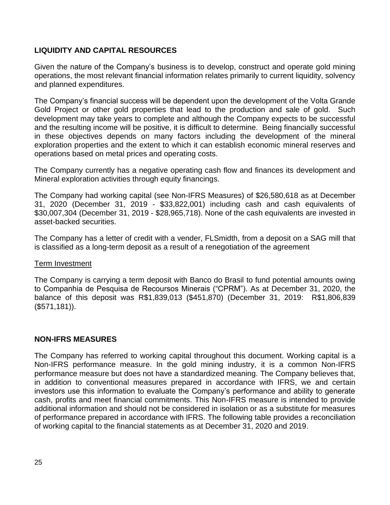# **LIQUIDITY AND CAPITAL RESOURCES**

Given the nature of the Company's business is to develop, construct and operate gold mining operations, the most relevant financial information relates primarily to current liquidity, solvency and planned expenditures.

The Company's financial success will be dependent upon the development of the Volta Grande Gold Project or other gold properties that lead to the production and sale of gold. Such development may take years to complete and although the Company expects to be successful and the resulting income will be positive, it is difficult to determine. Being financially successful in these objectives depends on many factors including the development of the mineral exploration properties and the extent to which it can establish economic mineral reserves and operations based on metal prices and operating costs.

The Company currently has a negative operating cash flow and finances its development and Mineral exploration activities through equity financings.

The Company had working capital (see Non-IFRS Measures) of \$26,580,618 as at December 31, 2020 (December 31, 2019 - \$33,822,001) including cash and cash equivalents of \$30,007,304 (December 31, 2019 - \$28,965,718). None of the cash equivalents are invested in asset-backed securities.

The Company has a letter of credit with a vender, FLSmidth, from a deposit on a SAG mill that is classified as a long-term deposit as a result of a renegotiation of the agreement

# Term Investment

The Company is carrying a term deposit with Banco do Brasil to fund potential amounts owing to Companhia de Pesquisa de Recoursos Minerais ("CPRM"). As at December 31, 2020, the balance of this deposit was R\$1,839,013 (\$451,870) (December 31, 2019: R\$1,806,839 (\$571,181)).

# **NON-IFRS MEASURES**

The Company has referred to working capital throughout this document. Working capital is a Non-IFRS performance measure. In the gold mining industry, it is a common Non-IFRS performance measure but does not have a standardized meaning. The Company believes that, in addition to conventional measures prepared in accordance with IFRS, we and certain investors use this information to evaluate the Company's performance and ability to generate cash, profits and meet financial commitments. This Non-IFRS measure is intended to provide additional information and should not be considered in isolation or as a substitute for measures of performance prepared in accordance with IFRS. The following table provides a reconciliation of working capital to the financial statements as at December 31, 2020 and 2019.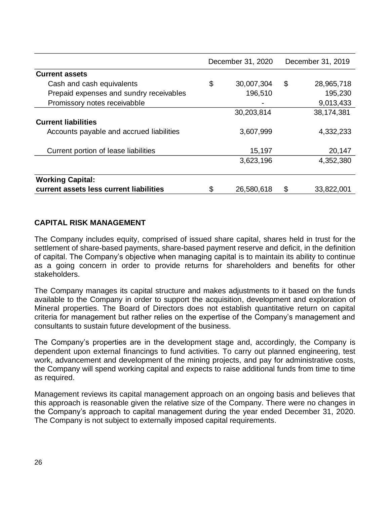|                                          | December 31, 2020      |            | December 31, 2019 |            |  |
|------------------------------------------|------------------------|------------|-------------------|------------|--|
| <b>Current assets</b>                    |                        |            |                   |            |  |
| Cash and cash equivalents                | \$                     | 30,007,304 | \$                | 28,965,718 |  |
| Prepaid expenses and sundry receivables  |                        | 196,510    |                   | 195,230    |  |
| Promissory notes receivabble             |                        |            |                   | 9,013,433  |  |
|                                          |                        | 30,203,814 |                   | 38,174,381 |  |
| <b>Current liabilities</b>               |                        |            |                   |            |  |
| Accounts payable and accrued liabilities |                        | 3,607,999  |                   | 4,332,233  |  |
| Current portion of lease liabilities     |                        | 15,197     |                   | 20,147     |  |
|                                          |                        | 3,623,196  |                   | 4,352,380  |  |
| <b>Working Capital:</b>                  |                        |            |                   |            |  |
| current assets less current liabilities  | \$<br>\$<br>26,580,618 |            | 33,822,001        |            |  |

# **CAPITAL RISK MANAGEMENT**

The Company includes equity, comprised of issued share capital, shares held in trust for the settlement of share-based payments, share-based payment reserve and deficit, in the definition of capital. The Company's objective when managing capital is to maintain its ability to continue as a going concern in order to provide returns for shareholders and benefits for other stakeholders.

The Company manages its capital structure and makes adjustments to it based on the funds available to the Company in order to support the acquisition, development and exploration of Mineral properties. The Board of Directors does not establish quantitative return on capital criteria for management but rather relies on the expertise of the Company's management and consultants to sustain future development of the business.

The Company's properties are in the development stage and, accordingly, the Company is dependent upon external financings to fund activities. To carry out planned engineering, test work, advancement and development of the mining projects, and pay for administrative costs, the Company will spend working capital and expects to raise additional funds from time to time as required.

Management reviews its capital management approach on an ongoing basis and believes that this approach is reasonable given the relative size of the Company. There were no changes in the Company's approach to capital management during the year ended December 31, 2020. The Company is not subject to externally imposed capital requirements.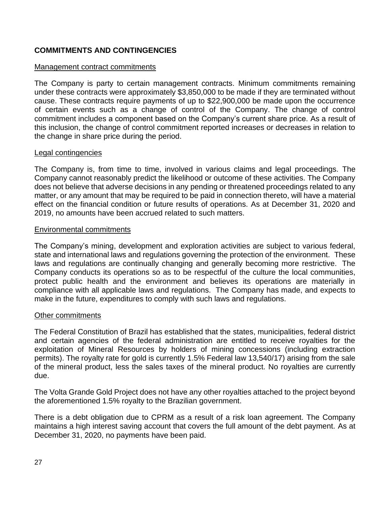# **COMMITMENTS AND CONTINGENCIES**

#### Management contract commitments

The Company is party to certain management contracts. Minimum commitments remaining under these contracts were approximately \$3,850,000 to be made if they are terminated without cause. These contracts require payments of up to \$22,900,000 be made upon the occurrence of certain events such as a change of control of the Company. The change of control commitment includes a component based on the Company's current share price. As a result of this inclusion, the change of control commitment reported increases or decreases in relation to the change in share price during the period.

#### Legal contingencies

The Company is, from time to time, involved in various claims and legal proceedings. The Company cannot reasonably predict the likelihood or outcome of these activities. The Company does not believe that adverse decisions in any pending or threatened proceedings related to any matter, or any amount that may be required to be paid in connection thereto, will have a material effect on the financial condition or future results of operations. As at December 31, 2020 and 2019, no amounts have been accrued related to such matters.

#### Environmental commitments

The Company's mining, development and exploration activities are subject to various federal, state and international laws and regulations governing the protection of the environment. These laws and regulations are continually changing and generally becoming more restrictive. The Company conducts its operations so as to be respectful of the culture the local communities, protect public health and the environment and believes its operations are materially in compliance with all applicable laws and regulations. The Company has made, and expects to make in the future, expenditures to comply with such laws and regulations.

#### Other commitments

The Federal Constitution of Brazil has established that the states, municipalities, federal district and certain agencies of the federal administration are entitled to receive royalties for the exploitation of Mineral Resources by holders of mining concessions (including extraction permits). The royalty rate for gold is currently 1.5% Federal law 13,540/17) arising from the sale of the mineral product, less the sales taxes of the mineral product. No royalties are currently due.

The Volta Grande Gold Project does not have any other royalties attached to the project beyond the aforementioned 1.5% royalty to the Brazilian government.

There is a debt obligation due to CPRM as a result of a risk loan agreement. The Company maintains a high interest saving account that covers the full amount of the debt payment. As at December 31, 2020, no payments have been paid.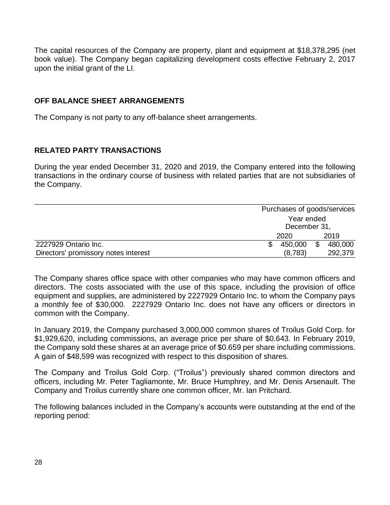The capital resources of the Company are property, plant and equipment at \$18,378,295 (net book value). The Company began capitalizing development costs effective February 2, 2017 upon the initial grant of the LI.

# **OFF BALANCE SHEET ARRANGEMENTS**

The Company is not party to any off-balance sheet arrangements.

# **RELATED PARTY TRANSACTIONS**

During the year ended December 31, 2020 and 2019, the Company entered into the following transactions in the ordinary course of business with related parties that are not subsidiaries of the Company.

|                                      | Purchases of goods/services |  |         |  |
|--------------------------------------|-----------------------------|--|---------|--|
|                                      | Year ended                  |  |         |  |
|                                      | December 31,                |  |         |  |
|                                      | 2019<br>2020                |  |         |  |
| 2227929 Ontario Inc.                 | 450,000                     |  | 480,000 |  |
| Directors' promissory notes interest | (8,783)<br>292,379          |  |         |  |

The Company shares office space with other companies who may have common officers and directors. The costs associated with the use of this space, including the provision of office equipment and supplies, are administered by 2227929 Ontario Inc. to whom the Company pays a monthly fee of \$30,000. 2227929 Ontario Inc. does not have any officers or directors in common with the Company.

In January 2019, the Company purchased 3,000,000 common shares of Troilus Gold Corp. for \$1,929,620, including commissions, an average price per share of \$0.643. In February 2019, the Company sold these shares at an average price of \$0.659 per share including commissions. A gain of \$48,599 was recognized with respect to this disposition of shares.

The Company and Troilus Gold Corp. ("Troilus") previously shared common directors and officers, including Mr. Peter Tagliamonte, Mr. Bruce Humphrey, and Mr. Denis Arsenault. The Company and Troilus currently share one common officer, Mr. Ian Pritchard.

The following balances included in the Company's accounts were outstanding at the end of the reporting period: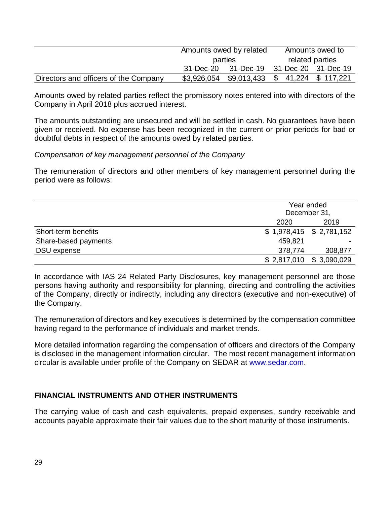|                                       | Amounts owed by related<br>parties |                                                | Amounts owed to |  |  |
|---------------------------------------|------------------------------------|------------------------------------------------|-----------------|--|--|
|                                       |                                    |                                                | related parties |  |  |
|                                       |                                    | 31-Dec-20 31-Dec-19 31-Dec-20 31-Dec-19        |                 |  |  |
| Directors and officers of the Company |                                    | $$3,926,054$ $$9,013,433$ $$41,224$ $$117,221$ |                 |  |  |

Amounts owed by related parties reflect the promissory notes entered into with directors of the Company in April 2018 plus accrued interest.

The amounts outstanding are unsecured and will be settled in cash. No guarantees have been given or received. No expense has been recognized in the current or prior periods for bad or doubtful debts in respect of the amounts owed by related parties.

*Compensation of key management personnel of the Company*

The remuneration of directors and other members of key management personnel during the period were as follows:

|                      |                           | Year ended<br>December 31, |  |  |
|----------------------|---------------------------|----------------------------|--|--|
|                      | 2020                      | 2019                       |  |  |
| Short-term benefits  | $$1,978,415$ $$2,781,152$ |                            |  |  |
| Share-based payments | 459,821                   |                            |  |  |
| DSU expense          | 378,774                   | 308,877                    |  |  |
|                      | $$2,817,010$ $$3,090,029$ |                            |  |  |

In accordance with IAS 24 Related Party Disclosures, key management personnel are those persons having authority and responsibility for planning, directing and controlling the activities of the Company, directly or indirectly, including any directors (executive and non-executive) of the Company.

The remuneration of directors and key executives is determined by the compensation committee having regard to the performance of individuals and market trends.

More detailed information regarding the compensation of officers and directors of the Company is disclosed in the management information circular. The most recent management information circular is available under profile of the Company on SEDAR at [www.sedar.com.](http://www.sedar.com/)

# **FINANCIAL INSTRUMENTS AND OTHER INSTRUMENTS**

The carrying value of cash and cash equivalents, prepaid expenses, sundry receivable and accounts payable approximate their fair values due to the short maturity of those instruments.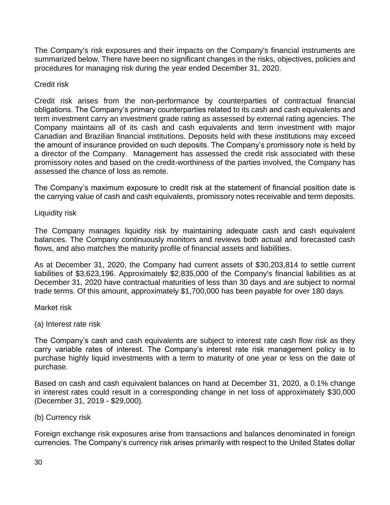The Company's risk exposures and their impacts on the Company's financial instruments are summarized below. There have been no significant changes in the risks, objectives, policies and procedures for managing risk during the year ended December 31, 2020.

Credit risk

Credit risk arises from the non-performance by counterparties of contractual financial obligations. The Company's primary counterparties related to its cash and cash equivalents and term investment carry an investment grade rating as assessed by external rating agencies. The Company maintains all of its cash and cash equivalents and term investment with major Canadian and Brazilian financial institutions. Deposits held with these institutions may exceed the amount of insurance provided on such deposits. The Company's promissory note is held by a director of the Company. Management has assessed the credit risk associated with these promissory notes and based on the credit-worthiness of the parties involved, the Company has assessed the chance of loss as remote.

The Company's maximum exposure to credit risk at the statement of financial position date is the carrying value of cash and cash equivalents, promissory notes receivable and term deposits.

Liquidity risk

The Company manages liquidity risk by maintaining adequate cash and cash equivalent balances. The Company continuously monitors and reviews both actual and forecasted cash flows, and also matches the maturity profile of financial assets and liabilities.

As at December 31, 2020, the Company had current assets of \$30,203,814 to settle current liabilities of \$3,623,196. Approximately \$2,835,000 of the Company's financial liabilities as at December 31, 2020 have contractual maturities of less than 30 days and are subject to normal trade terms. Of this amount, approximately \$1,700,000 has been payable for over 180 days.

Market risk

(a) Interest rate risk

The Company's cash and cash equivalents are subject to interest rate cash flow risk as they carry variable rates of interest. The Company's interest rate risk management policy is to purchase highly liquid investments with a term to maturity of one year or less on the date of purchase.

Based on cash and cash equivalent balances on hand at December 31, 2020, a 0.1% change in interest rates could result in a corresponding change in net loss of approximately \$30,000 (December 31, 2019 - \$29,000).

(b) Currency risk

Foreign exchange risk exposures arise from transactions and balances denominated in foreign currencies. The Company's currency risk arises primarily with respect to the United States dollar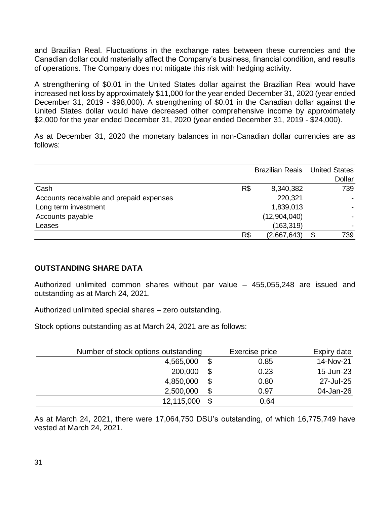and Brazilian Real. Fluctuations in the exchange rates between these currencies and the Canadian dollar could materially affect the Company's business, financial condition, and results of operations. The Company does not mitigate this risk with hedging activity.

A strengthening of \$0.01 in the United States dollar against the Brazilian Real would have increased net loss by approximately \$11,000 for the year ended December 31, 2020 (year ended December 31, 2019 - \$98,000). A strengthening of \$0.01 in the Canadian dollar against the United States dollar would have decreased other comprehensive income by approximately \$2,000 for the year ended December 31, 2020 (year ended December 31, 2019 - \$24,000).

As at December 31, 2020 the monetary balances in non-Canadian dollar currencies are as follows:

|                                          | <b>Brazilian Reais</b> |              | <b>United States</b> |        |
|------------------------------------------|------------------------|--------------|----------------------|--------|
|                                          |                        |              |                      | Dollar |
| Cash                                     | R\$                    | 8,340,382    |                      | 739    |
| Accounts receivable and prepaid expenses |                        | 220,321      |                      |        |
| Long term investment                     |                        | 1,839,013    |                      |        |
| Accounts payable                         |                        | (12,904,040) |                      |        |
| Leases                                   |                        | (163, 319)   |                      |        |
|                                          | R\$                    | (2,667,643)  | \$                   | 739    |

# **OUTSTANDING SHARE DATA**

Authorized unlimited common shares without par value – 455,055,248 are issued and outstanding as at March 24, 2021.

Authorized unlimited special shares – zero outstanding.

Stock options outstanding as at March 24, 2021 are as follows:

| Number of stock options outstanding |    | Exercise price | Expiry date |
|-------------------------------------|----|----------------|-------------|
| 4,565,000                           |    | 0.85           | 14-Nov-21   |
| 200,000                             | S  | 0.23           | 15-Jun-23   |
| 4,850,000                           | \$ | 0.80           | 27-Jul-25   |
| 2,500,000                           | \$ | 0.97           | 04-Jan-26   |
| 12,115,000                          |    | 0.64           |             |

As at March 24, 2021, there were 17,064,750 DSU's outstanding, of which 16,775,749 have vested at March 24, 2021.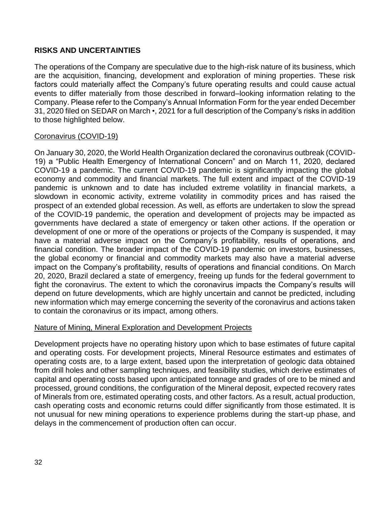# **RISKS AND UNCERTAINTIES**

The operations of the Company are speculative due to the high-risk nature of its business, which are the acquisition, financing, development and exploration of mining properties. These risk factors could materially affect the Company's future operating results and could cause actual events to differ materially from those described in forward–looking information relating to the Company. Please refer to the Company's Annual Information Form for the year ended December 31, 2020 filed on SEDAR on March •, 2021 for a full description of the Company's risks in addition to those highlighted below.

# Coronavirus (COVID-19)

On January 30, 2020, the World Health Organization declared the coronavirus outbreak (COVID-19) a "Public Health Emergency of International Concern" and on March 11, 2020, declared COVID-19 a pandemic. The current COVID-19 pandemic is significantly impacting the global economy and commodity and financial markets. The full extent and impact of the COVID-19 pandemic is unknown and to date has included extreme volatility in financial markets, a slowdown in economic activity, extreme volatility in commodity prices and has raised the prospect of an extended global recession. As well, as efforts are undertaken to slow the spread of the COVID-19 pandemic, the operation and development of projects may be impacted as governments have declared a state of emergency or taken other actions. If the operation or development of one or more of the operations or projects of the Company is suspended, it may have a material adverse impact on the Company's profitability, results of operations, and financial condition. The broader impact of the COVID-19 pandemic on investors, businesses, the global economy or financial and commodity markets may also have a material adverse impact on the Company's profitability, results of operations and financial conditions. On March 20, 2020, Brazil declared a state of emergency, freeing up funds for the federal government to fight the coronavirus. The extent to which the coronavirus impacts the Company's results will depend on future developments, which are highly uncertain and cannot be predicted, including new information which may emerge concerning the severity of the coronavirus and actions taken to contain the coronavirus or its impact, among others.

# Nature of Mining, Mineral Exploration and Development Projects

Development projects have no operating history upon which to base estimates of future capital and operating costs. For development projects, Mineral Resource estimates and estimates of operating costs are, to a large extent, based upon the interpretation of geologic data obtained from drill holes and other sampling techniques, and feasibility studies, which derive estimates of capital and operating costs based upon anticipated tonnage and grades of ore to be mined and processed, ground conditions, the configuration of the Mineral deposit, expected recovery rates of Minerals from ore, estimated operating costs, and other factors. As a result, actual production, cash operating costs and economic returns could differ significantly from those estimated. It is not unusual for new mining operations to experience problems during the start-up phase, and delays in the commencement of production often can occur.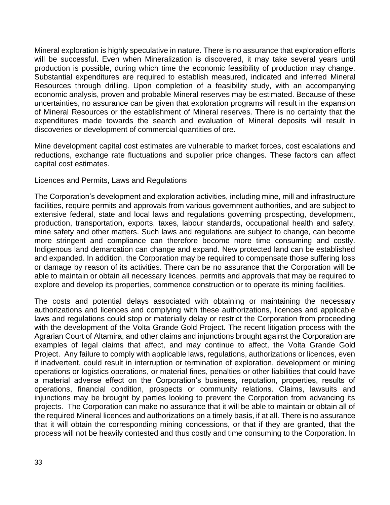Mineral exploration is highly speculative in nature. There is no assurance that exploration efforts will be successful. Even when Mineralization is discovered, it may take several years until production is possible, during which time the economic feasibility of production may change. Substantial expenditures are required to establish measured, indicated and inferred Mineral Resources through drilling. Upon completion of a feasibility study, with an accompanying economic analysis, proven and probable Mineral reserves may be estimated. Because of these uncertainties, no assurance can be given that exploration programs will result in the expansion of Mineral Resources or the establishment of Mineral reserves. There is no certainty that the expenditures made towards the search and evaluation of Mineral deposits will result in discoveries or development of commercial quantities of ore.

Mine development capital cost estimates are vulnerable to market forces, cost escalations and reductions, exchange rate fluctuations and supplier price changes. These factors can affect capital cost estimates.

#### Licences and Permits, Laws and Regulations

The Corporation's development and exploration activities, including mine, mill and infrastructure facilities, require permits and approvals from various government authorities, and are subject to extensive federal, state and local laws and regulations governing prospecting, development, production, transportation, exports, taxes, labour standards, occupational health and safety, mine safety and other matters. Such laws and regulations are subject to change, can become more stringent and compliance can therefore become more time consuming and costly. Indigenous land demarcation can change and expand. New protected land can be established and expanded. In addition, the Corporation may be required to compensate those suffering loss or damage by reason of its activities. There can be no assurance that the Corporation will be able to maintain or obtain all necessary licences, permits and approvals that may be required to explore and develop its properties, commence construction or to operate its mining facilities.

The costs and potential delays associated with obtaining or maintaining the necessary authorizations and licences and complying with these authorizations, licences and applicable laws and regulations could stop or materially delay or restrict the Corporation from proceeding with the development of the Volta Grande Gold Project. The recent litigation process with the Agrarian Court of Altamira, and other claims and injunctions brought against the Corporation are examples of legal claims that affect, and may continue to affect, the Volta Grande Gold Project. Any failure to comply with applicable laws, regulations, authorizations or licences, even if inadvertent, could result in interruption or termination of exploration, development or mining operations or logistics operations, or material fines, penalties or other liabilities that could have a material adverse effect on the Corporation's business, reputation, properties, results of operations, financial condition, prospects or community relations. Claims, lawsuits and injunctions may be brought by parties looking to prevent the Corporation from advancing its projects. The Corporation can make no assurance that it will be able to maintain or obtain all of the required Mineral licences and authorizations on a timely basis, if at all. There is no assurance that it will obtain the corresponding mining concessions, or that if they are granted, that the process will not be heavily contested and thus costly and time consuming to the Corporation. In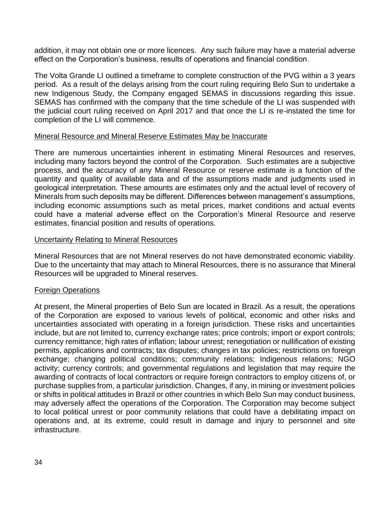addition, it may not obtain one or more licences. Any such failure may have a material adverse effect on the Corporation's business, results of operations and financial condition.

The Volta Grande LI outlined a timeframe to complete construction of the PVG within a 3 years period. As a result of the delays arising from the court ruling requiring Belo Sun to undertake a new Indigenous Study, the Company engaged SEMAS in discussions regarding this issue. SEMAS has confirmed with the company that the time schedule of the LI was suspended with the judicial court ruling received on April 2017 and that once the LI is re-instated the time for completion of the LI will commence.

# Mineral Resource and Mineral Reserve Estimates May be Inaccurate

There are numerous uncertainties inherent in estimating Mineral Resources and reserves, including many factors beyond the control of the Corporation. Such estimates are a subjective process, and the accuracy of any Mineral Resource or reserve estimate is a function of the quantity and quality of available data and of the assumptions made and judgments used in geological interpretation. These amounts are estimates only and the actual level of recovery of Minerals from such deposits may be different. Differences between management's assumptions, including economic assumptions such as metal prices, market conditions and actual events could have a material adverse effect on the Corporation's Mineral Resource and reserve estimates, financial position and results of operations.

# Uncertainty Relating to Mineral Resources

Mineral Resources that are not Mineral reserves do not have demonstrated economic viability. Due to the uncertainty that may attach to Mineral Resources, there is no assurance that Mineral Resources will be upgraded to Mineral reserves.

# Foreign Operations

At present, the Mineral properties of Belo Sun are located in Brazil. As a result, the operations of the Corporation are exposed to various levels of political, economic and other risks and uncertainties associated with operating in a foreign jurisdiction. These risks and uncertainties include, but are not limited to, currency exchange rates; price controls; import or export controls; currency remittance; high rates of inflation; labour unrest; renegotiation or nullification of existing permits, applications and contracts; tax disputes; changes in tax policies; restrictions on foreign exchange; changing political conditions; community relations; Indigenous relations; NGO activity; currency controls; and governmental regulations and legislation that may require the awarding of contracts of local contractors or require foreign contractors to employ citizens of, or purchase supplies from, a particular jurisdiction. Changes, if any, in mining or investment policies or shifts in political attitudes in Brazil or other countries in which Belo Sun may conduct business, may adversely affect the operations of the Corporation. The Corporation may become subject to local political unrest or poor community relations that could have a debilitating impact on operations and, at its extreme, could result in damage and injury to personnel and site infrastructure.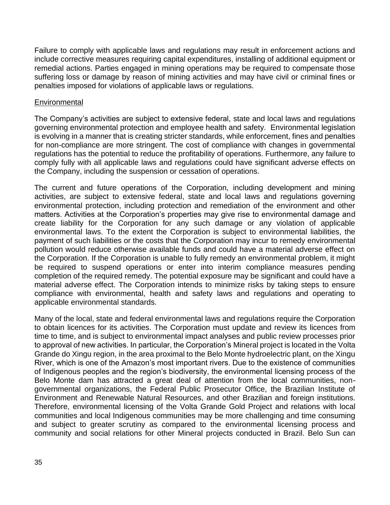Failure to comply with applicable laws and regulations may result in enforcement actions and include corrective measures requiring capital expenditures, installing of additional equipment or remedial actions. Parties engaged in mining operations may be required to compensate those suffering loss or damage by reason of mining activities and may have civil or criminal fines or penalties imposed for violations of applicable laws or regulations.

#### **Environmental**

The Company's activities are subject to extensive federal, state and local laws and regulations governing environmental protection and employee health and safety. Environmental legislation is evolving in a manner that is creating stricter standards, while enforcement, fines and penalties for non-compliance are more stringent. The cost of compliance with changes in governmental regulations has the potential to reduce the profitability of operations. Furthermore, any failure to comply fully with all applicable laws and regulations could have significant adverse effects on the Company, including the suspension or cessation of operations.

The current and future operations of the Corporation, including development and mining activities, are subject to extensive federal, state and local laws and regulations governing environmental protection, including protection and remediation of the environment and other matters. Activities at the Corporation's properties may give rise to environmental damage and create liability for the Corporation for any such damage or any violation of applicable environmental laws. To the extent the Corporation is subject to environmental liabilities, the payment of such liabilities or the costs that the Corporation may incur to remedy environmental pollution would reduce otherwise available funds and could have a material adverse effect on the Corporation. If the Corporation is unable to fully remedy an environmental problem, it might be required to suspend operations or enter into interim compliance measures pending completion of the required remedy. The potential exposure may be significant and could have a material adverse effect. The Corporation intends to minimize risks by taking steps to ensure compliance with environmental, health and safety laws and regulations and operating to applicable environmental standards.

Many of the local, state and federal environmental laws and regulations require the Corporation to obtain licences for its activities. The Corporation must update and review its licences from time to time, and is subject to environmental impact analyses and public review processes prior to approval of new activities. In particular, the Corporation's Mineral project is located in the Volta Grande do Xingu region, in the area proximal to the Belo Monte hydroelectric plant, on the Xingu River, which is one of the Amazon's most important rivers. Due to the existence of communities of Indigenous peoples and the region's biodiversity, the environmental licensing process of the Belo Monte dam has attracted a great deal of attention from the local communities, nongovernmental organizations, the Federal Public Prosecutor Office, the Brazilian Institute of Environment and Renewable Natural Resources, and other Brazilian and foreign institutions. Therefore, environmental licensing of the Volta Grande Gold Project and relations with local communities and local Indigenous communities may be more challenging and time consuming and subject to greater scrutiny as compared to the environmental licensing process and community and social relations for other Mineral projects conducted in Brazil. Belo Sun can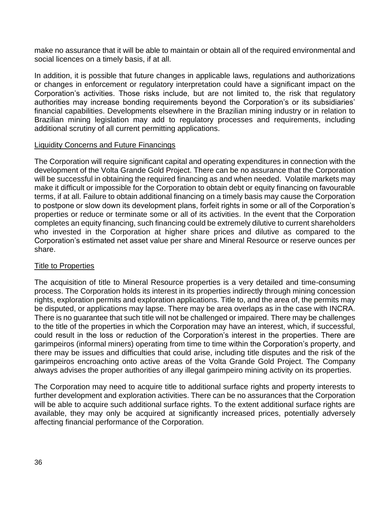make no assurance that it will be able to maintain or obtain all of the required environmental and social licences on a timely basis, if at all.

In addition, it is possible that future changes in applicable laws, regulations and authorizations or changes in enforcement or regulatory interpretation could have a significant impact on the Corporation's activities. Those risks include, but are not limited to, the risk that regulatory authorities may increase bonding requirements beyond the Corporation's or its subsidiaries' financial capabilities. Developments elsewhere in the Brazilian mining industry or in relation to Brazilian mining legislation may add to regulatory processes and requirements, including additional scrutiny of all current permitting applications.

# Liquidity Concerns and Future Financings

The Corporation will require significant capital and operating expenditures in connection with the development of the Volta Grande Gold Project. There can be no assurance that the Corporation will be successful in obtaining the required financing as and when needed. Volatile markets may make it difficult or impossible for the Corporation to obtain debt or equity financing on favourable terms, if at all. Failure to obtain additional financing on a timely basis may cause the Corporation to postpone or slow down its development plans, forfeit rights in some or all of the Corporation's properties or reduce or terminate some or all of its activities. In the event that the Corporation completes an equity financing, such financing could be extremely dilutive to current shareholders who invested in the Corporation at higher share prices and dilutive as compared to the Corporation's estimated net asset value per share and Mineral Resource or reserve ounces per share.

# **Title to Properties**

The acquisition of title to Mineral Resource properties is a very detailed and time-consuming process. The Corporation holds its interest in its properties indirectly through mining concession rights, exploration permits and exploration applications. Title to, and the area of, the permits may be disputed, or applications may lapse. There may be area overlaps as in the case with INCRA. There is no guarantee that such title will not be challenged or impaired. There may be challenges to the title of the properties in which the Corporation may have an interest, which, if successful, could result in the loss or reduction of the Corporation's interest in the properties. There are garimpeiros (informal miners) operating from time to time within the Corporation's property, and there may be issues and difficulties that could arise, including title disputes and the risk of the garimpeiros encroaching onto active areas of the Volta Grande Gold Project. The Company always advises the proper authorities of any illegal garimpeiro mining activity on its properties.

The Corporation may need to acquire title to additional surface rights and property interests to further development and exploration activities. There can be no assurances that the Corporation will be able to acquire such additional surface rights. To the extent additional surface rights are available, they may only be acquired at significantly increased prices, potentially adversely affecting financial performance of the Corporation.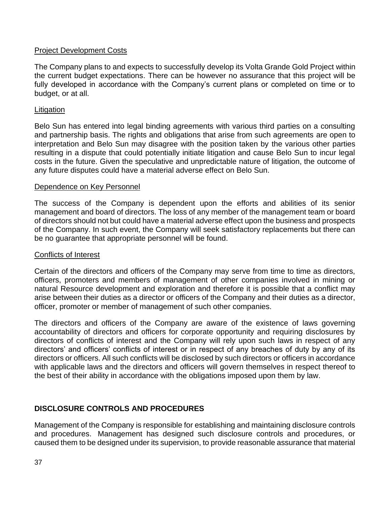# Project Development Costs

The Company plans to and expects to successfully develop its Volta Grande Gold Project within the current budget expectations. There can be however no assurance that this project will be fully developed in accordance with the Company's current plans or completed on time or to budget, or at all.

# **Litigation**

Belo Sun has entered into legal binding agreements with various third parties on a consulting and partnership basis. The rights and obligations that arise from such agreements are open to interpretation and Belo Sun may disagree with the position taken by the various other parties resulting in a dispute that could potentially initiate litigation and cause Belo Sun to incur legal costs in the future. Given the speculative and unpredictable nature of litigation, the outcome of any future disputes could have a material adverse effect on Belo Sun.

# Dependence on Key Personnel

The success of the Company is dependent upon the efforts and abilities of its senior management and board of directors. The loss of any member of the management team or board of directors should not but could have a material adverse effect upon the business and prospects of the Company. In such event, the Company will seek satisfactory replacements but there can be no guarantee that appropriate personnel will be found.

# Conflicts of Interest

Certain of the directors and officers of the Company may serve from time to time as directors, officers, promoters and members of management of other companies involved in mining or natural Resource development and exploration and therefore it is possible that a conflict may arise between their duties as a director or officers of the Company and their duties as a director, officer, promoter or member of management of such other companies.

The directors and officers of the Company are aware of the existence of laws governing accountability of directors and officers for corporate opportunity and requiring disclosures by directors of conflicts of interest and the Company will rely upon such laws in respect of any directors' and officers' conflicts of interest or in respect of any breaches of duty by any of its directors or officers. All such conflicts will be disclosed by such directors or officers in accordance with applicable laws and the directors and officers will govern themselves in respect thereof to the best of their ability in accordance with the obligations imposed upon them by law.

# **DISCLOSURE CONTROLS AND PROCEDURES**

Management of the Company is responsible for establishing and maintaining disclosure controls and procedures. Management has designed such disclosure controls and procedures, or caused them to be designed under its supervision, to provide reasonable assurance that material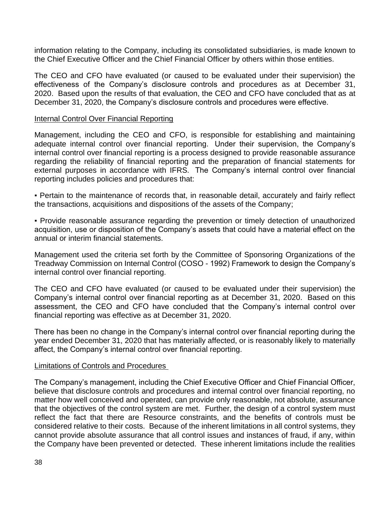information relating to the Company, including its consolidated subsidiaries, is made known to the Chief Executive Officer and the Chief Financial Officer by others within those entities.

The CEO and CFO have evaluated (or caused to be evaluated under their supervision) the effectiveness of the Company's disclosure controls and procedures as at December 31, 2020. Based upon the results of that evaluation, the CEO and CFO have concluded that as at December 31, 2020, the Company's disclosure controls and procedures were effective.

#### Internal Control Over Financial Reporting

Management, including the CEO and CFO, is responsible for establishing and maintaining adequate internal control over financial reporting. Under their supervision, the Company's internal control over financial reporting is a process designed to provide reasonable assurance regarding the reliability of financial reporting and the preparation of financial statements for external purposes in accordance with IFRS. The Company's internal control over financial reporting includes policies and procedures that:

• Pertain to the maintenance of records that, in reasonable detail, accurately and fairly reflect the transactions, acquisitions and dispositions of the assets of the Company;

▪ Provide reasonable assurance regarding the prevention or timely detection of unauthorized acquisition, use or disposition of the Company's assets that could have a material effect on the annual or interim financial statements.

Management used the criteria set forth by the Committee of Sponsoring Organizations of the Treadway Commission on Internal Control (COSO - 1992) Framework to design the Company's internal control over financial reporting.

The CEO and CFO have evaluated (or caused to be evaluated under their supervision) the Company's internal control over financial reporting as at December 31, 2020. Based on this assessment, the CEO and CFO have concluded that the Company's internal control over financial reporting was effective as at December 31, 2020.

There has been no change in the Company's internal control over financial reporting during the year ended December 31, 2020 that has materially affected, or is reasonably likely to materially affect, the Company's internal control over financial reporting.

#### Limitations of Controls and Procedures

The Company's management, including the Chief Executive Officer and Chief Financial Officer, believe that disclosure controls and procedures and internal control over financial reporting, no matter how well conceived and operated, can provide only reasonable, not absolute, assurance that the objectives of the control system are met. Further, the design of a control system must reflect the fact that there are Resource constraints, and the benefits of controls must be considered relative to their costs. Because of the inherent limitations in all control systems, they cannot provide absolute assurance that all control issues and instances of fraud, if any, within the Company have been prevented or detected. These inherent limitations include the realities